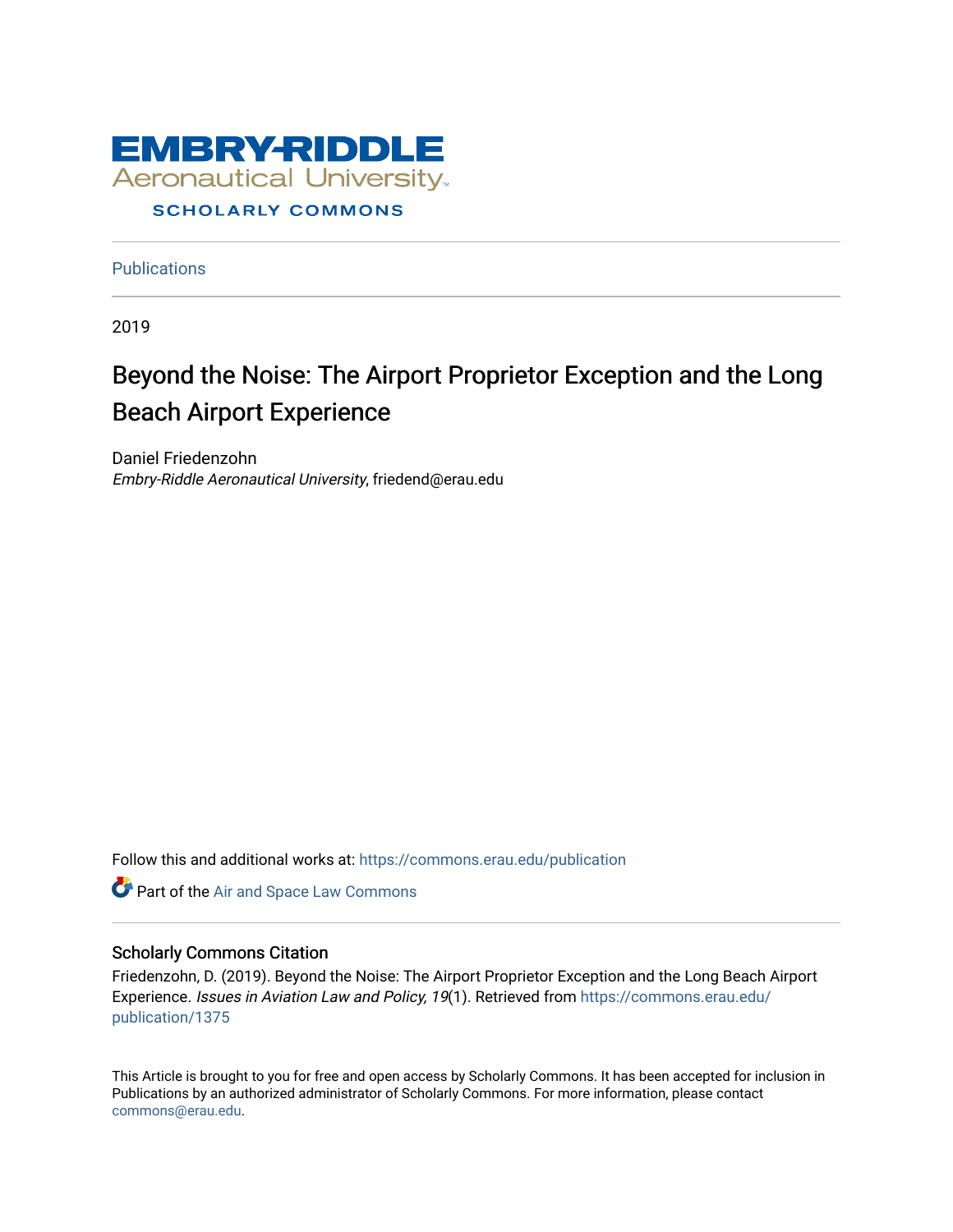

**Publications** 

2019

# Beyond the Noise: The Airport Proprietor Exception and the Long Beach Airport Experience

Daniel Friedenzohn Embry-Riddle Aeronautical University, friedend@erau.edu

Follow this and additional works at: [https://commons.erau.edu/publication](https://commons.erau.edu/publication?utm_source=commons.erau.edu%2Fpublication%2F1375&utm_medium=PDF&utm_campaign=PDFCoverPages) 

**Part of the [Air and Space Law Commons](http://network.bepress.com/hgg/discipline/830?utm_source=commons.erau.edu%2Fpublication%2F1375&utm_medium=PDF&utm_campaign=PDFCoverPages)** 

#### Scholarly Commons Citation

Friedenzohn, D. (2019). Beyond the Noise: The Airport Proprietor Exception and the Long Beach Airport Experience. Issues in Aviation Law and Policy, 19(1). Retrieved from [https://commons.erau.edu/](https://commons.erau.edu/publication/1375?utm_source=commons.erau.edu%2Fpublication%2F1375&utm_medium=PDF&utm_campaign=PDFCoverPages) [publication/1375](https://commons.erau.edu/publication/1375?utm_source=commons.erau.edu%2Fpublication%2F1375&utm_medium=PDF&utm_campaign=PDFCoverPages) 

This Article is brought to you for free and open access by Scholarly Commons. It has been accepted for inclusion in Publications by an authorized administrator of Scholarly Commons. For more information, please contact [commons@erau.edu](mailto:commons@erau.edu).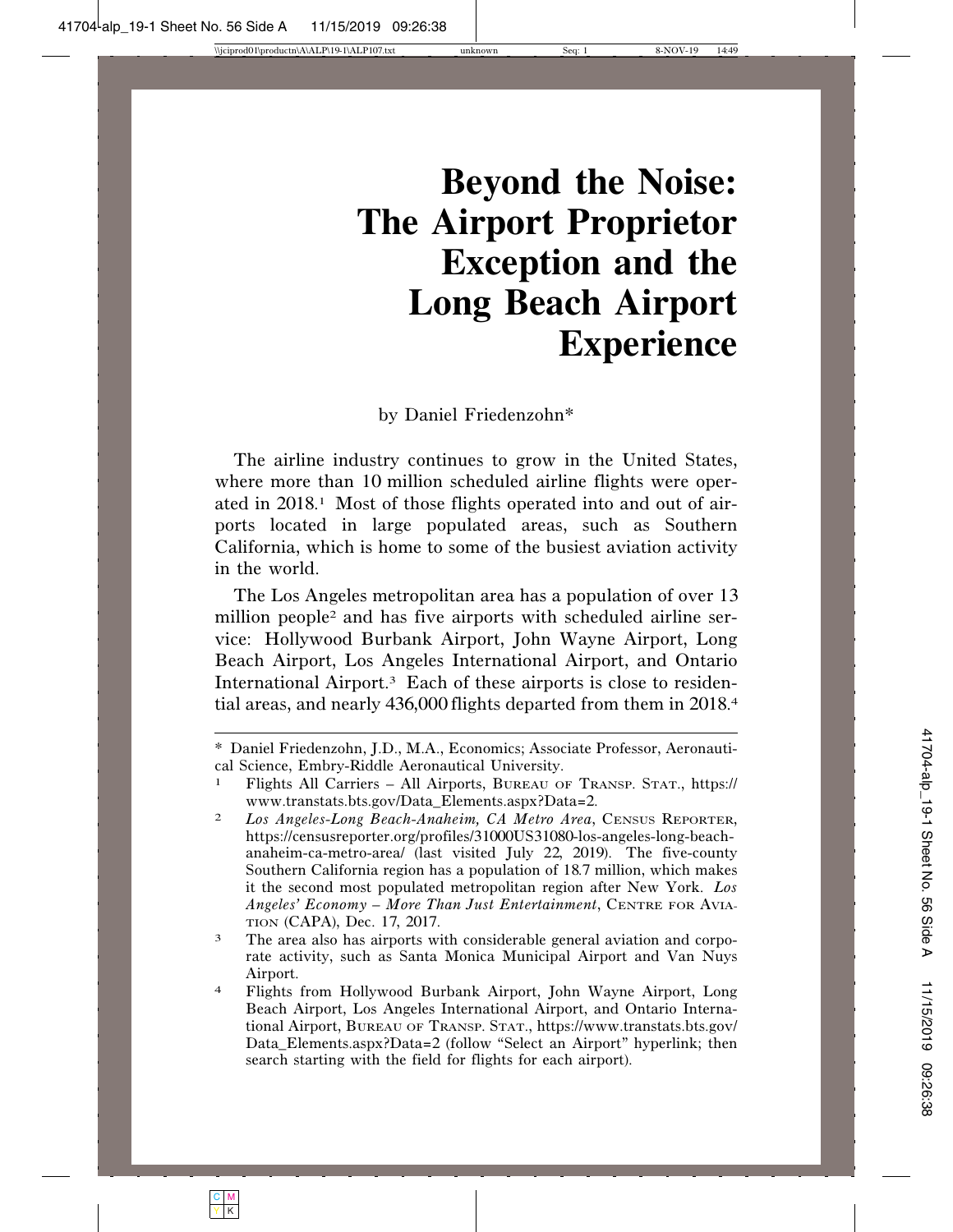# **Beyond the Noise: The Airport Proprietor Exception and the Long Beach Airport Experience**

by Daniel Friedenzohn\*

The airline industry continues to grow in the United States, where more than 10 million scheduled airline flights were operated in 2018.1 Most of those flights operated into and out of airports located in large populated areas, such as Southern California, which is home to some of the busiest aviation activity in the world.

The Los Angeles metropolitan area has a population of over 13 million people2 and has five airports with scheduled airline service: Hollywood Burbank Airport, John Wayne Airport, Long Beach Airport, Los Angeles International Airport, and Ontario International Airport.3 Each of these airports is close to residential areas, and nearly 436,000 flights departed from them in 2018.<sup>4</sup>

<sup>\*</sup> Daniel Friedenzohn, J.D., M.A., Economics; Associate Professor, Aeronautical Science, Embry-Riddle Aeronautical University.

<sup>1</sup> Flights All Carriers – All Airports, BUREAU OF TRANSP. STAT., https:// www.transtats.bts.gov/Data\_Elements.aspx?Data=2.

<sup>2</sup> *Los Angeles-Long Beach-Anaheim, CA Metro Area*, CENSUS REPORTER, https://censusreporter.org/profiles/31000US31080-los-angeles-long-beachanaheim-ca-metro-area/ (last visited July 22, 2019). The five-county Southern California region has a population of 18.7 million, which makes it the second most populated metropolitan region after New York. *Los Angeles' Economy – More Than Just Entertainment*, CENTRE FOR AVIA-TION (CAPA), Dec. 17, 2017.

<sup>3</sup> The area also has airports with considerable general aviation and corporate activity, such as Santa Monica Municipal Airport and Van Nuys Airport.

<sup>4</sup> Flights from Hollywood Burbank Airport, John Wayne Airport, Long Beach Airport, Los Angeles International Airport, and Ontario International Airport, BUREAU OF TRANSP. STAT., https://www.transtats.bts.gov/ Data\_Elements.aspx?Data=2 (follow "Select an Airport" hyperlink; then search starting with the field for flights for each airport).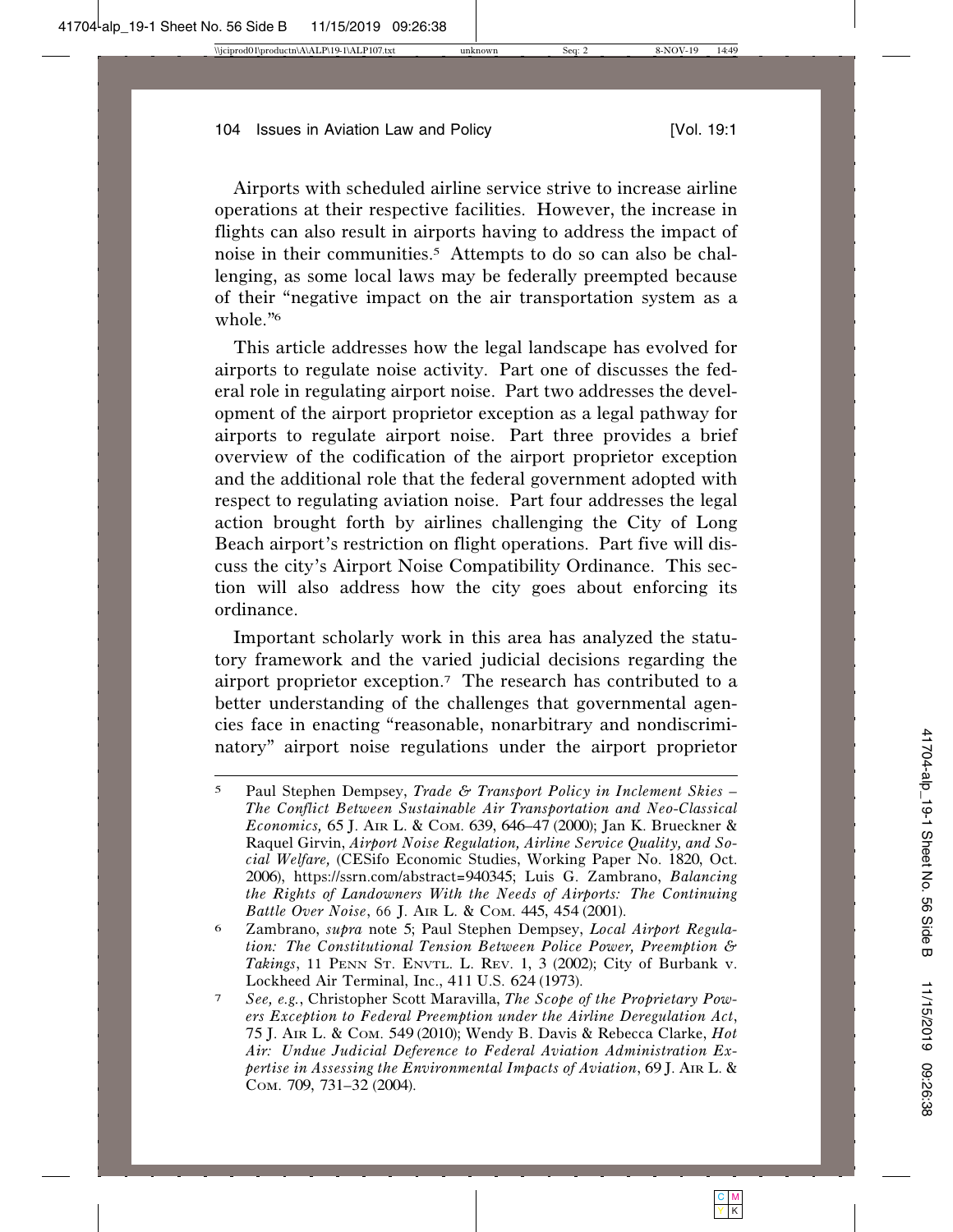Airports with scheduled airline service strive to increase airline operations at their respective facilities. However, the increase in flights can also result in airports having to address the impact of noise in their communities.5 Attempts to do so can also be challenging, as some local laws may be federally preempted because of their "negative impact on the air transportation system as a whole."<sup>6</sup>

This article addresses how the legal landscape has evolved for airports to regulate noise activity. Part one of discusses the federal role in regulating airport noise. Part two addresses the development of the airport proprietor exception as a legal pathway for airports to regulate airport noise. Part three provides a brief overview of the codification of the airport proprietor exception and the additional role that the federal government adopted with respect to regulating aviation noise. Part four addresses the legal action brought forth by airlines challenging the City of Long Beach airport's restriction on flight operations. Part five will discuss the city's Airport Noise Compatibility Ordinance. This section will also address how the city goes about enforcing its ordinance.

Important scholarly work in this area has analyzed the statutory framework and the varied judicial decisions regarding the airport proprietor exception.7 The research has contributed to a better understanding of the challenges that governmental agencies face in enacting "reasonable, nonarbitrary and nondiscriminatory" airport noise regulations under the airport proprietor

<sup>5</sup> Paul Stephen Dempsey, *Trade & Transport Policy in Inclement Skies – The Conflict Between Sustainable Air Transportation and Neo-Classical Economics,* 65 J. AIR L. & COM. 639, 646–47 (2000); Jan K. Brueckner & Raquel Girvin, *Airport Noise Regulation, Airline Service Quality, and Social Welfare,* (CESifo Economic Studies, Working Paper No. 1820, Oct. 2006), https://ssrn.com/abstract=940345; Luis G. Zambrano, *Balancing the Rights of Landowners With the Needs of Airports: The Continuing Battle Over Noise*, 66 J. AIR L. & COM. 445, 454 (2001).

<sup>6</sup> Zambrano, *supra* note 5; Paul Stephen Dempsey, *Local Airport Regulation: The Constitutional Tension Between Police Power, Preemption & Takings*, 11 PENN ST. ENVTL. L. REV. 1, 3 (2002); City of Burbank v. Lockheed Air Terminal, Inc., 411 U.S. 624 (1973).

<sup>7</sup> *See, e.g.*, Christopher Scott Maravilla, *The Scope of the Proprietary Powers Exception to Federal Preemption under the Airline Deregulation Act*, 75 J. AIR L. & COM. 549 (2010); Wendy B. Davis & Rebecca Clarke, *Hot Air: Undue Judicial Deference to Federal Aviation Administration Expertise in Assessing the Environmental Impacts of Aviation*, 69 J. AIR L. & COM. 709, 731–32 (2004).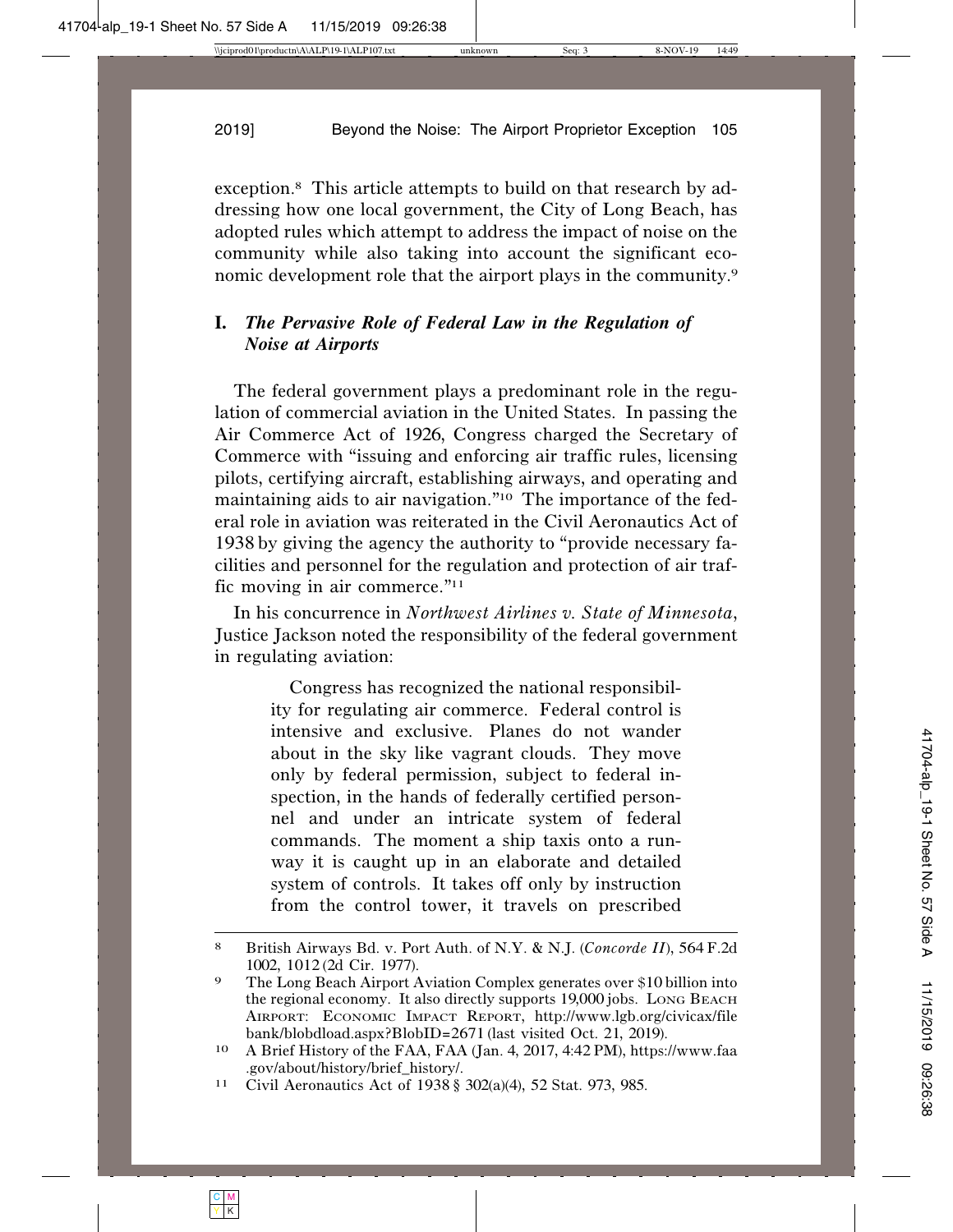exception.8 This article attempts to build on that research by addressing how one local government, the City of Long Beach, has adopted rules which attempt to address the impact of noise on the community while also taking into account the significant economic development role that the airport plays in the community.9

# **I.** *The Pervasive Role of Federal Law in the Regulation of Noise at Airports*

The federal government plays a predominant role in the regulation of commercial aviation in the United States. In passing the Air Commerce Act of 1926, Congress charged the Secretary of Commerce with "issuing and enforcing air traffic rules, licensing pilots, certifying aircraft, establishing airways, and operating and maintaining aids to air navigation."10 The importance of the federal role in aviation was reiterated in the Civil Aeronautics Act of 1938 by giving the agency the authority to "provide necessary facilities and personnel for the regulation and protection of air traffic moving in air commerce."11

In his concurrence in *Northwest Airlines v. State of Minnesota*, Justice Jackson noted the responsibility of the federal government in regulating aviation:

> Congress has recognized the national responsibility for regulating air commerce. Federal control is intensive and exclusive. Planes do not wander about in the sky like vagrant clouds. They move only by federal permission, subject to federal inspection, in the hands of federally certified personnel and under an intricate system of federal commands. The moment a ship taxis onto a runway it is caught up in an elaborate and detailed system of controls. It takes off only by instruction from the control tower, it travels on prescribed

<sup>8</sup> British Airways Bd. v. Port Auth. of N.Y. & N.J. (*Concorde II*), 564F.2d 1002, 1012 (2d Cir. 1977).

<sup>9</sup> The Long Beach Airport Aviation Complex generates over \$10 billion into the regional economy. It also directly supports 19,000 jobs. LONG BEACH AIRPORT: ECONOMIC IMPACT REPORT, http://www.lgb.org/civicax/file bank/blobdload.aspx?BlobID=<sup>2671</sup> (last visited Oct. 21, <sup>2019</sup>). <sup>10</sup> A Brief History of the FAA, FAA (Jan. 4, <sup>2017</sup>, <sup>4</sup>:<sup>42</sup> PM), https://www.faa

<sup>.</sup>gov/about/history/brief\_history/.

<sup>11</sup> Civil Aeronautics Act of 1938 § 302(a)(4), 52 Stat. 973, 985.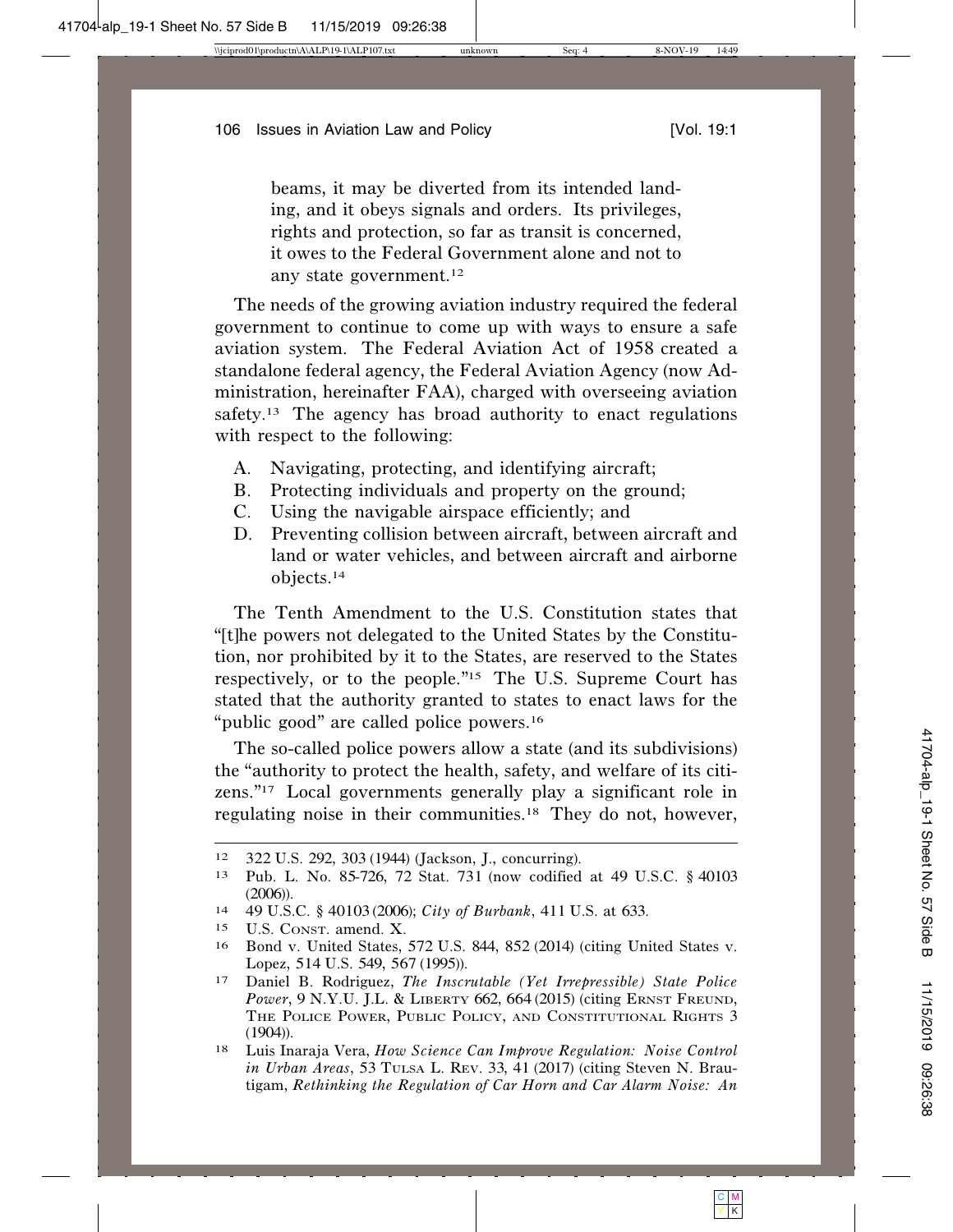beams, it may be diverted from its intended landing, and it obeys signals and orders. Its privileges, rights and protection, so far as transit is concerned, it owes to the Federal Government alone and not to any state government.12

The needs of the growing aviation industry required the federal government to continue to come up with ways to ensure a safe aviation system. The Federal Aviation Act of 1958 created a standalone federal agency, the Federal Aviation Agency (now Administration, hereinafter FAA), charged with overseeing aviation safety.<sup>13</sup> The agency has broad authority to enact regulations with respect to the following:

- A. Navigating, protecting, and identifying aircraft;
- B. Protecting individuals and property on the ground;
- C. Using the navigable airspace efficiently; and
- D. Preventing collision between aircraft, between aircraft and land or water vehicles, and between aircraft and airborne objects.14

The Tenth Amendment to the U.S. Constitution states that "[t]he powers not delegated to the United States by the Constitution, nor prohibited by it to the States, are reserved to the States respectively, or to the people."15 The U.S. Supreme Court has stated that the authority granted to states to enact laws for the "public good" are called police powers.16

The so-called police powers allow a state (and its subdivisions) the "authority to protect the health, safety, and welfare of its citizens."17 Local governments generally play a significant role in regulating noise in their communities.18 They do not, however,

<sup>12</sup> 322 U.S. 292, 303 (1944) (Jackson, J., concurring).

<sup>13</sup> Pub. L. No. 85-726, 72 Stat. 731 (now codified at 49 U.S.C. § 40103  $(2006)$ ).

<sup>14</sup> 49 U.S.C. § 40103 (2006); *City of Burbank*, 411 U.S. at 633.

<sup>15</sup> U.S. CONST. amend. X.

<sup>16</sup> Bond v. United States, 572 U.S. 844, 852 (2014) (citing United States v. Lopez, 514 U.S. 549, 567 (1995)).

<sup>17</sup> Daniel B. Rodriguez, *The Inscrutable (Yet Irrepressible) State Police Power*, 9 N.Y.U. J.L. & LIBERTY 662, 664 (2015) (citing ERNST FREUND, THE POLICE POWER, PUBLIC POLICY, AND CONSTITUTIONAL RIGHTS 3 (1904)).

<sup>18</sup> Luis Inaraja Vera, *How Science Can Improve Regulation: Noise Control in Urban Areas*, 53 TULSA L. REV. 33, 41 (2017) (citing Steven N. Brautigam, *Rethinking the Regulation of Car Horn and Car Alarm Noise: An*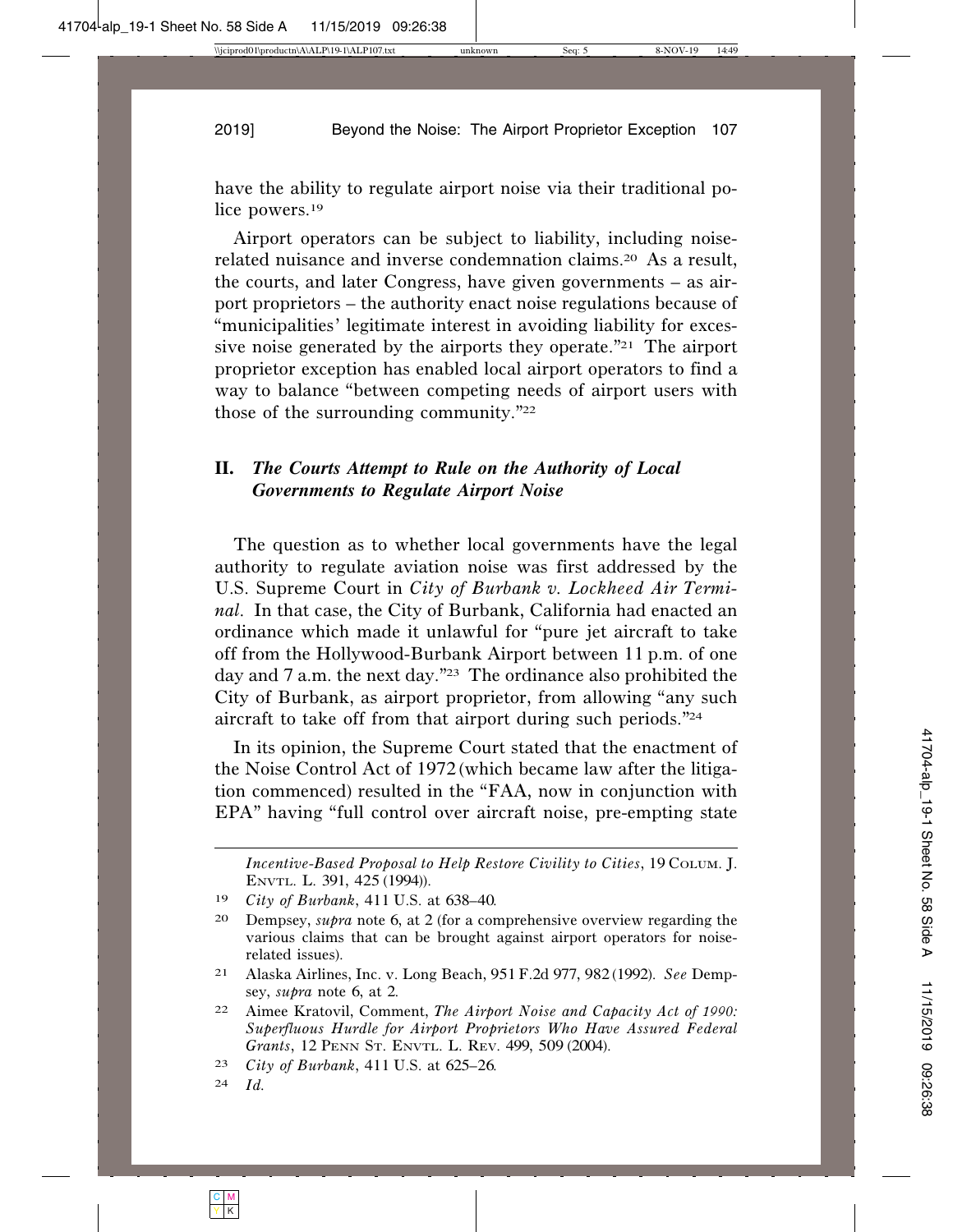have the ability to regulate airport noise via their traditional police powers.19

Airport operators can be subject to liability, including noiserelated nuisance and inverse condemnation claims.20 As a result, the courts, and later Congress, have given governments – as airport proprietors – the authority enact noise regulations because of "municipalities' legitimate interest in avoiding liability for excessive noise generated by the airports they operate."21 The airport proprietor exception has enabled local airport operators to find a way to balance "between competing needs of airport users with those of the surrounding community."22

# **II.** *The Courts Attempt to Rule on the Authority of Local Governments to Regulate Airport Noise*

The question as to whether local governments have the legal authority to regulate aviation noise was first addressed by the U.S. Supreme Court in *City of Burbank v. Lockheed Air Terminal*. In that case, the City of Burbank, California had enacted an ordinance which made it unlawful for "pure jet aircraft to take off from the Hollywood-Burbank Airport between 11 p.m. of one day and 7 a.m. the next day."23 The ordinance also prohibited the City of Burbank, as airport proprietor, from allowing "any such aircraft to take off from that airport during such periods."24

In its opinion, the Supreme Court stated that the enactment of the Noise Control Act of 1972 (which became law after the litigation commenced) resulted in the "FAA, now in conjunction with EPA" having "full control over aircraft noise, pre-empting state

*Incentive-Based Proposal to Help Restore Civility to Cities*, 19 COLUM. J. ENVTL. L. 391, 425 (1994)).

<sup>19</sup> *City of Burbank*, 411 U.S. at 638–40.

<sup>20</sup> Dempsey, *supra* note 6, at 2 (for a comprehensive overview regarding the various claims that can be brought against airport operators for noiserelated issues).

<sup>21</sup> Alaska Airlines, Inc. v. Long Beach, 951F.2d 977, 982 (1992). *See* Dempsey, *supra* note 6, at 2.

<sup>22</sup> Aimee Kratovil, Comment, *The Airport Noise and Capacity Act of 1990: Superfluous Hurdle for Airport Proprietors Who Have Assured Federal Grants*, 12 PENN ST. ENVTL. L. REV. 499, 509 (2004).

<sup>23</sup> *City of Burbank*, 411 U.S. at 625–26.

<sup>24</sup> *Id.*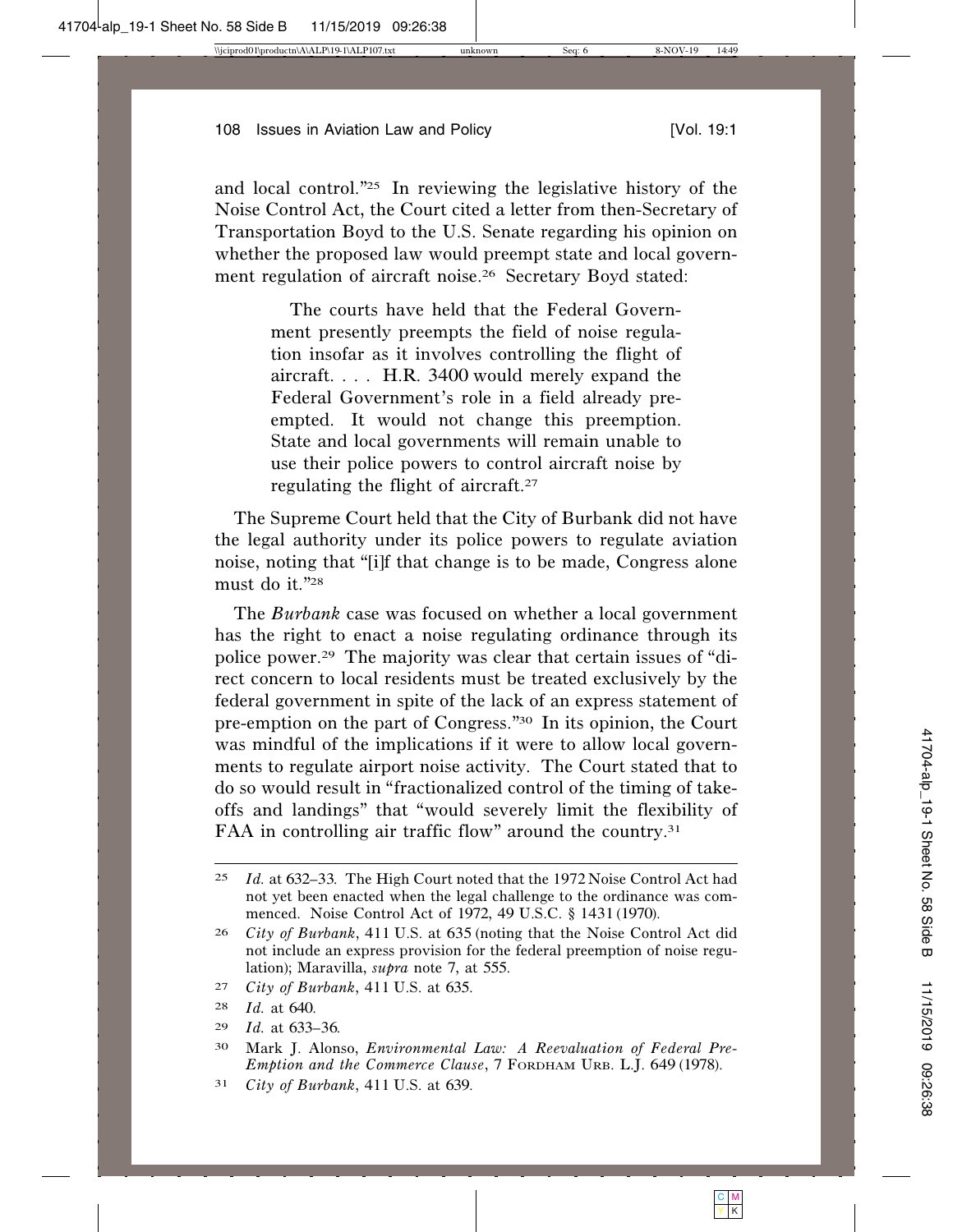and local control."25 In reviewing the legislative history of the Noise Control Act, the Court cited a letter from then-Secretary of Transportation Boyd to the U.S. Senate regarding his opinion on whether the proposed law would preempt state and local government regulation of aircraft noise.<sup>26</sup> Secretary Boyd stated:

> The courts have held that the Federal Government presently preempts the field of noise regulation insofar as it involves controlling the flight of aircraft. . . . H.R. 3400 would merely expand the Federal Government's role in a field already preempted. It would not change this preemption. State and local governments will remain unable to use their police powers to control aircraft noise by regulating the flight of aircraft.27

The Supreme Court held that the City of Burbank did not have the legal authority under its police powers to regulate aviation noise, noting that "[i]f that change is to be made, Congress alone must do it."28

The *Burbank* case was focused on whether a local government has the right to enact a noise regulating ordinance through its police power.29 The majority was clear that certain issues of "direct concern to local residents must be treated exclusively by the federal government in spite of the lack of an express statement of pre-emption on the part of Congress."30 In its opinion, the Court was mindful of the implications if it were to allow local governments to regulate airport noise activity. The Court stated that to do so would result in "fractionalized control of the timing of takeoffs and landings" that "would severely limit the flexibility of FAA in controlling air traffic flow" around the country.<sup>31</sup>

29 *Id.* at 633–36.

31 *City of Burbank*, 411 U.S. at 639.

<sup>25</sup> *Id.* at 632–33. The High Court noted that the 1972 Noise Control Act had not yet been enacted when the legal challenge to the ordinance was commenced. Noise Control Act of 1972, 49 U.S.C. § 1431 (1970).

<sup>26</sup> *City of Burbank*, 411 U.S. at 635 (noting that the Noise Control Act did not include an express provision for the federal preemption of noise regulation); Maravilla, *supra* note 7, at 555.

<sup>27</sup> *City of Burbank*, 411 U.S. at 635.

<sup>28</sup> *Id.* at 640.

<sup>30</sup> Mark J. Alonso, *Environmental Law: A Reevaluation of Federal Pre-Emption and the Commerce Clause*, 7 FORDHAM URB. L.J. 649 (1978).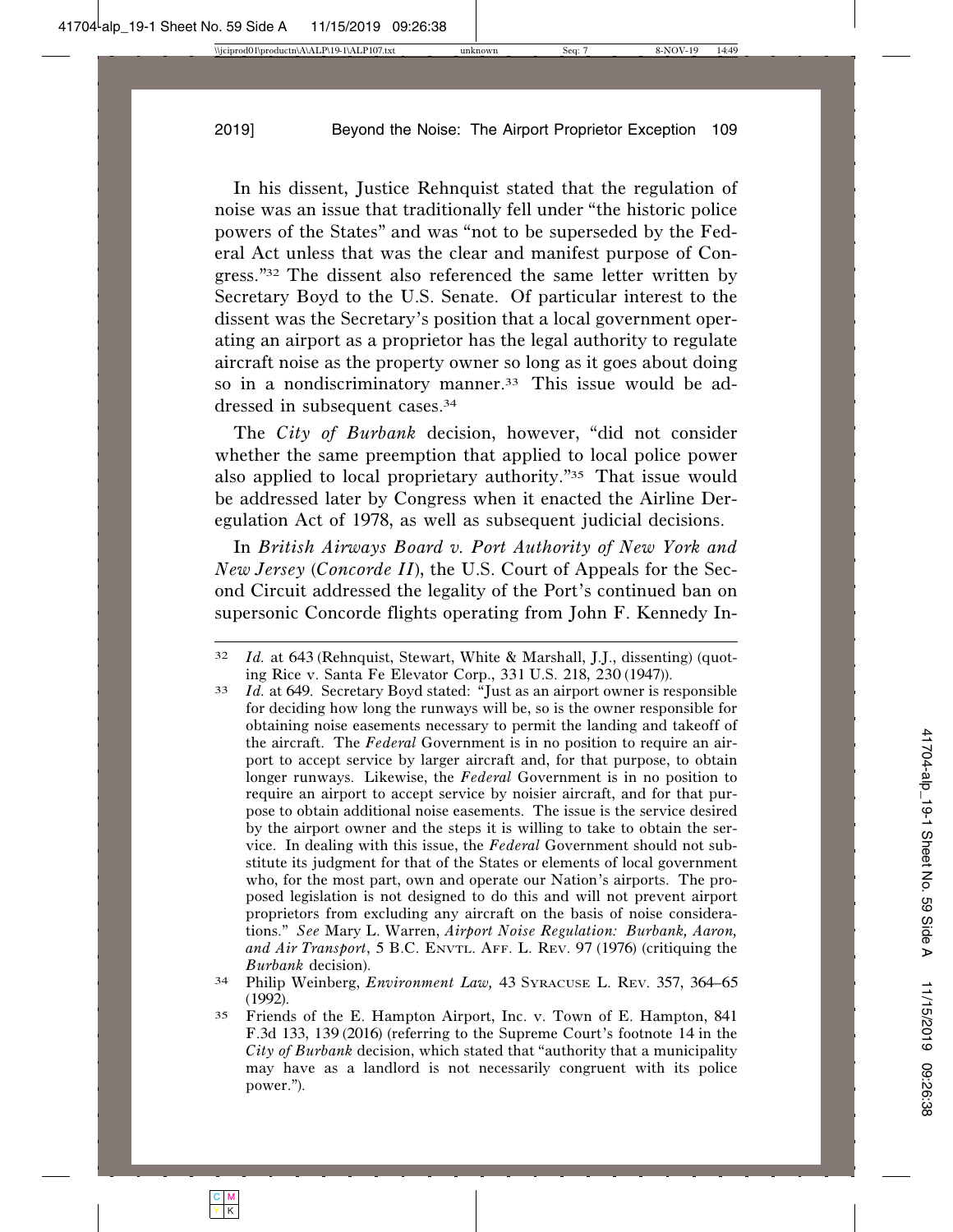In his dissent, Justice Rehnquist stated that the regulation of noise was an issue that traditionally fell under "the historic police powers of the States" and was "not to be superseded by the Federal Act unless that was the clear and manifest purpose of Congress."32 The dissent also referenced the same letter written by Secretary Boyd to the U.S. Senate. Of particular interest to the dissent was the Secretary's position that a local government operating an airport as a proprietor has the legal authority to regulate aircraft noise as the property owner so long as it goes about doing so in a nondiscriminatory manner.<sup>33</sup> This issue would be addressed in subsequent cases.34

The *City of Burbank* decision, however, "did not consider whether the same preemption that applied to local police power also applied to local proprietary authority."35 That issue would be addressed later by Congress when it enacted the Airline Deregulation Act of 1978, as well as subsequent judicial decisions.

In *British Airways Board v. Port Authority of New York and New Jersey* (*Concorde II*), the U.S. Court of Appeals for the Second Circuit addressed the legality of the Port's continued ban on supersonic Concorde flights operating from John F. Kennedy In-

<sup>32</sup> *Id.* at 643 (Rehnquist, Stewart, White & Marshall, J.J., dissenting) (quoting Rice v. Santa Fe Elevator Corp., <sup>331</sup> U.S. <sup>218</sup>, <sup>230</sup> (1947)). <sup>33</sup> *Id.* at 649. Secretary Boyd stated: "Just as an airport owner is responsible

for deciding how long the runways will be, so is the owner responsible for obtaining noise easements necessary to permit the landing and takeoff of the aircraft. The *Federal* Government is in no position to require an airport to accept service by larger aircraft and, for that purpose, to obtain longer runways. Likewise, the *Federal* Government is in no position to require an airport to accept service by noisier aircraft, and for that purpose to obtain additional noise easements. The issue is the service desired by the airport owner and the steps it is willing to take to obtain the service. In dealing with this issue, the *Federal* Government should not substitute its judgment for that of the States or elements of local government who, for the most part, own and operate our Nation's airports. The proposed legislation is not designed to do this and will not prevent airport proprietors from excluding any aircraft on the basis of noise considerations." *See* Mary L. Warren, *Airport Noise Regulation: Burbank, Aaron, and Air Transport*, 5 B.C. ENVTL. AFF. L. REV. 97 (1976) (critiquing the *Burbank* decision).

<sup>34</sup> Philip Weinberg, *Environment Law,* 43 SYRACUSE L. REV. 357, 364–65 (1992).

<sup>35</sup> Friends of the E. Hampton Airport, Inc. v. Town of E. Hampton, 841 F.3d 133, 139 (2016) (referring to the Supreme Court's footnote 14 in the *City of Burbank* decision, which stated that "authority that a municipality may have as a landlord is not necessarily congruent with its police power.").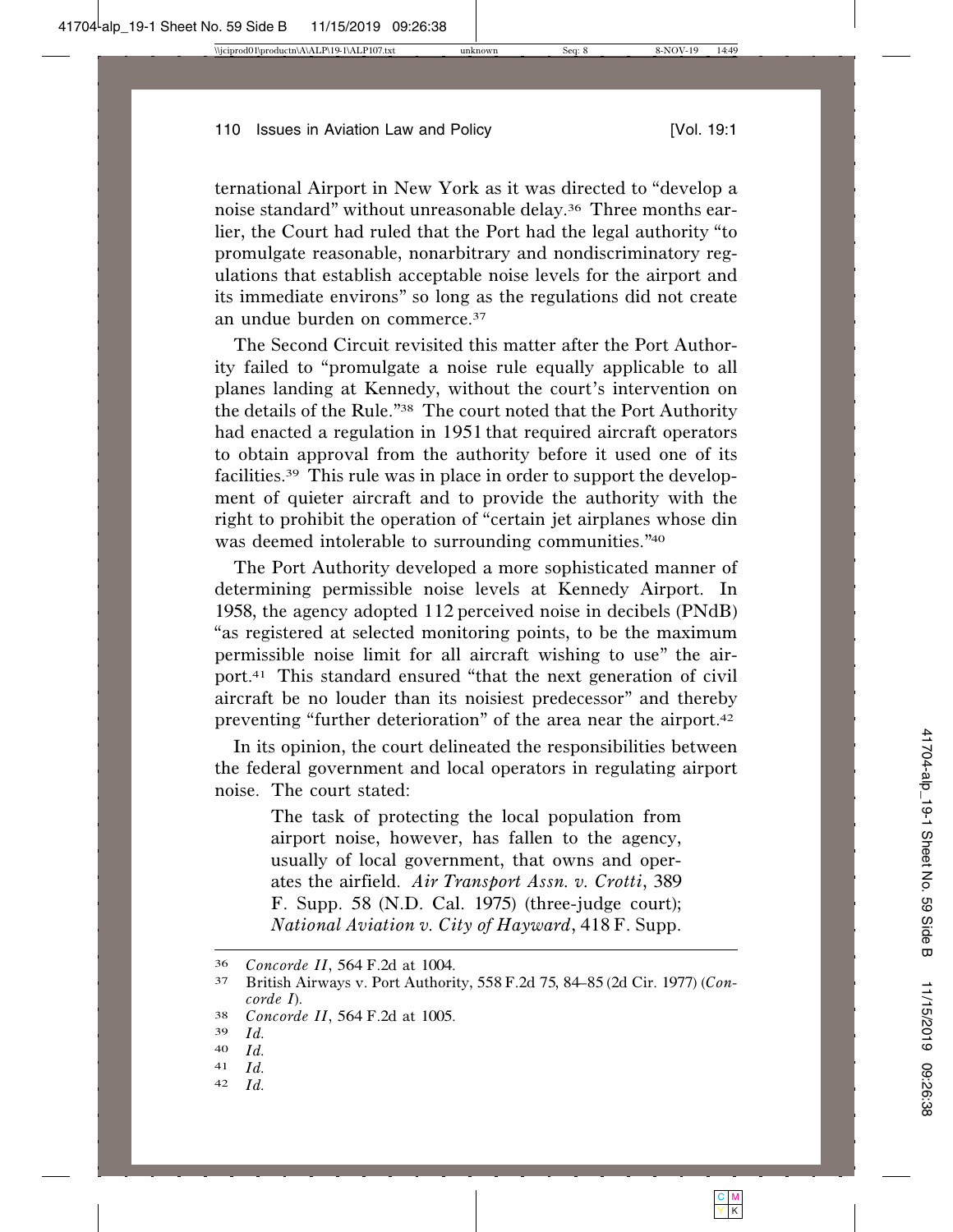ternational Airport in New York as it was directed to "develop a noise standard" without unreasonable delay.36 Three months earlier, the Court had ruled that the Port had the legal authority "to promulgate reasonable, nonarbitrary and nondiscriminatory regulations that establish acceptable noise levels for the airport and its immediate environs" so long as the regulations did not create an undue burden on commerce.37

The Second Circuit revisited this matter after the Port Authority failed to "promulgate a noise rule equally applicable to all planes landing at Kennedy, without the court's intervention on the details of the Rule."38 The court noted that the Port Authority had enacted a regulation in 1951 that required aircraft operators to obtain approval from the authority before it used one of its facilities.39 This rule was in place in order to support the development of quieter aircraft and to provide the authority with the right to prohibit the operation of "certain jet airplanes whose din was deemed intolerable to surrounding communities."40

The Port Authority developed a more sophisticated manner of determining permissible noise levels at Kennedy Airport. In 1958, the agency adopted 112 perceived noise in decibels (PNdB) "as registered at selected monitoring points, to be the maximum permissible noise limit for all aircraft wishing to use" the airport.41 This standard ensured "that the next generation of civil aircraft be no louder than its noisiest predecessor" and thereby preventing "further deterioration" of the area near the airport.42

In its opinion, the court delineated the responsibilities between the federal government and local operators in regulating airport noise. The court stated:

> The task of protecting the local population from airport noise, however, has fallen to the agency, usually of local government, that owns and operates the airfield. *Air Transport Assn. v. Crotti*, 389 F. Supp. 58 (N.D. Cal. 1975) (three-judge court); *National Aviation v. City of Hayward*, 418F. Supp.

- $\begin{array}{cc} 41 & Id. \\ 42 & Id. \end{array}$
- *Id.*

<sup>36</sup> *Concorde II*, <sup>564</sup> F.2d at 1004. <sup>37</sup> British Airways v. Port Authority, 558F.2<sup>d</sup> <sup>75</sup>, <sup>84</sup>–<sup>85</sup> (2d Cir. 1977) (*Concorde I*).

<sup>38</sup> *Concorde II*, <sup>564</sup> F.2d at 1005. <sup>39</sup> *Id.*

<sup>40</sup> *Id.*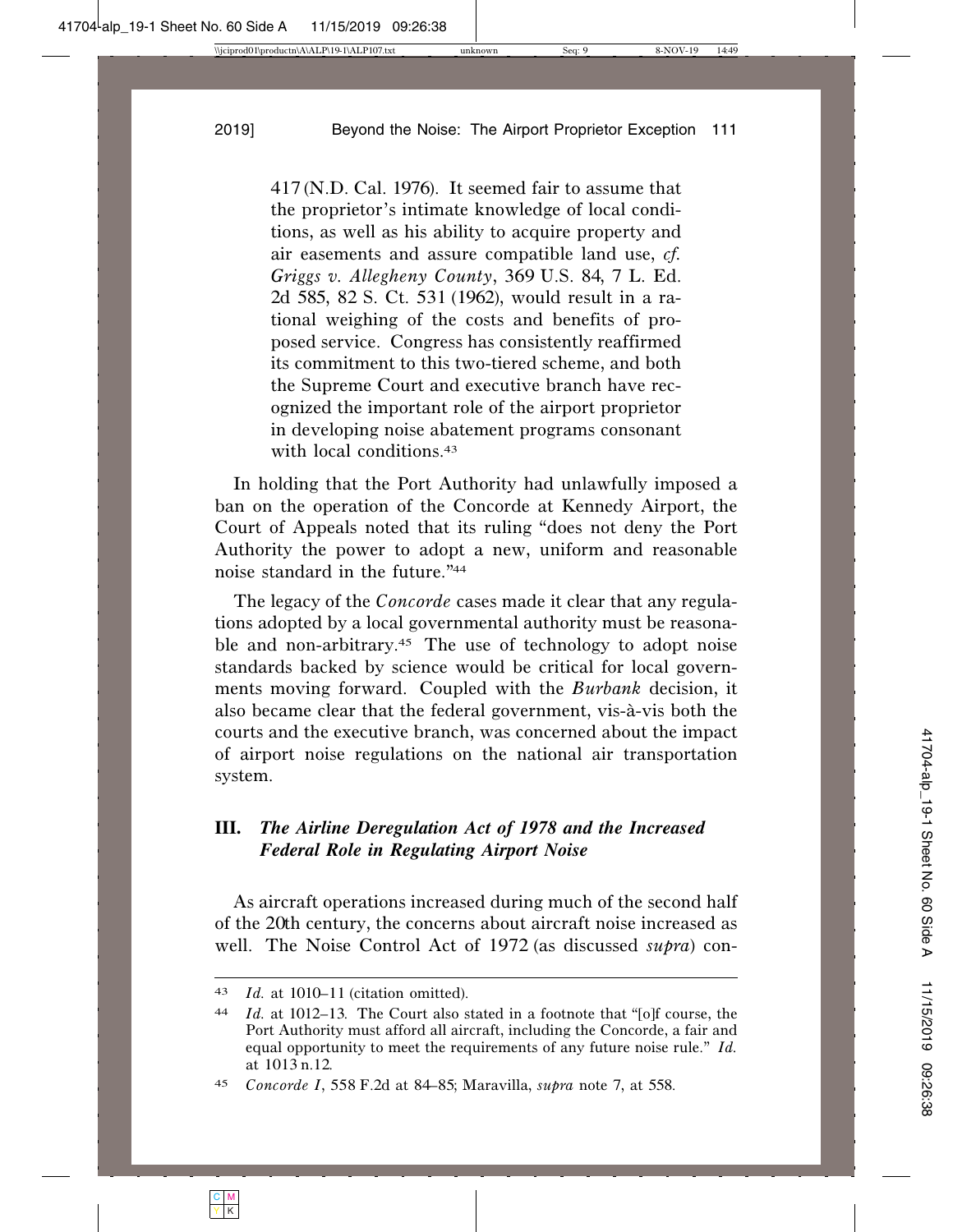417 (N.D. Cal. 1976). It seemed fair to assume that the proprietor's intimate knowledge of local conditions, as well as his ability to acquire property and air easements and assure compatible land use, *cf. Griggs v. Allegheny County*, 369 U.S. 84, 7 L. Ed. 2d 585, 82 S. Ct. 531 (1962), would result in a rational weighing of the costs and benefits of proposed service. Congress has consistently reaffirmed its commitment to this two-tiered scheme, and both the Supreme Court and executive branch have recognized the important role of the airport proprietor in developing noise abatement programs consonant with local conditions.<sup>43</sup>

In holding that the Port Authority had unlawfully imposed a ban on the operation of the Concorde at Kennedy Airport, the Court of Appeals noted that its ruling "does not deny the Port Authority the power to adopt a new, uniform and reasonable noise standard in the future."44

The legacy of the *Concorde* cases made it clear that any regulations adopted by a local governmental authority must be reasonable and non-arbitrary.45 The use of technology to adopt noise standards backed by science would be critical for local governments moving forward. Coupled with the *Burbank* decision, it also became clear that the federal government, vis-à-vis both the courts and the executive branch, was concerned about the impact of airport noise regulations on the national air transportation system.

# **III.** *The Airline Deregulation Act of 1978 and the Increased Federal Role in Regulating Airport Noise*

As aircraft operations increased during much of the second half of the 20th century, the concerns about aircraft noise increased as well. The Noise Control Act of 1972 (as discussed *supra*) con-

<sup>43</sup> *Id.* at 1010–11 (citation omitted).

<sup>44</sup> *Id.* at 1012–13. The Court also stated in a footnote that "[o]f course, the Port Authority must afford all aircraft, including the Concorde, a fair and equal opportunity to meet the requirements of any future noise rule." *Id.* at 1013 n.12.

<sup>45</sup> *Concorde I*, 558 F.2d at 84–85; Maravilla, *supra* note 7, at 558.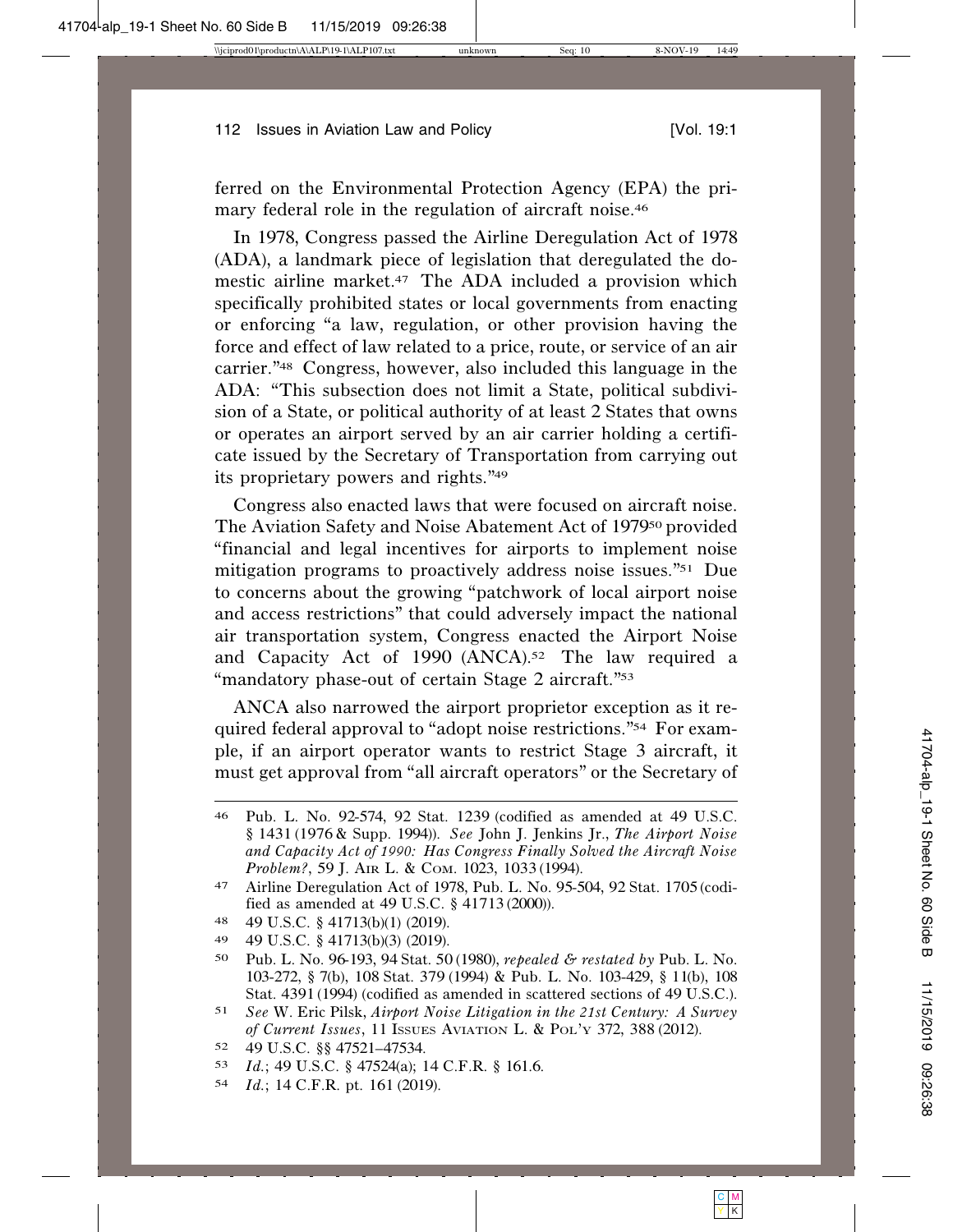ferred on the Environmental Protection Agency (EPA) the primary federal role in the regulation of aircraft noise.<sup>46</sup>

In 1978, Congress passed the Airline Deregulation Act of 1978 (ADA), a landmark piece of legislation that deregulated the domestic airline market.47 The ADA included a provision which specifically prohibited states or local governments from enacting or enforcing "a law, regulation, or other provision having the force and effect of law related to a price, route, or service of an air carrier."48 Congress, however, also included this language in the ADA: "This subsection does not limit a State, political subdivision of a State, or political authority of at least 2 States that owns or operates an airport served by an air carrier holding a certificate issued by the Secretary of Transportation from carrying out its proprietary powers and rights."49

Congress also enacted laws that were focused on aircraft noise. The Aviation Safety and Noise Abatement Act of 197950 provided "financial and legal incentives for airports to implement noise mitigation programs to proactively address noise issues."51 Due to concerns about the growing "patchwork of local airport noise and access restrictions" that could adversely impact the national air transportation system, Congress enacted the Airport Noise and Capacity Act of 1990 (ANCA).52 The law required a "mandatory phase-out of certain Stage 2 aircraft."<sup>53</sup>

ANCA also narrowed the airport proprietor exception as it required federal approval to "adopt noise restrictions."54 For example, if an airport operator wants to restrict Stage 3 aircraft, it must get approval from "all aircraft operators" or the Secretary of

- 48 49 U.S.C. § 41713(b)(1) (2019).
- 49 49 U.S.C. § 41713(b)(3) (2019).
- 50 Pub. L. No. 96-193, 94 Stat. 50 (1980), *repealed & restated by* Pub. L. No. 103-272, § 7(b), 108 Stat. 379 (1994) & Pub. L. No. 103-429, § 11(b), 108 Stat. 4391 (1994) (codified as amended in scattered sections of 49 U.S.C.).

- 52 49 U.S.C. §§ 47521–47534.
- 53 *Id.*; 49 U.S.C. § 47524(a); 14 C.F.R. § 161.6.
- 54 *Id.*; 14 C.F.R. pt. 161 (2019).

<sup>46</sup> Pub. L. No. 92-574, 92 Stat. 1239 (codified as amended at 49 U.S.C. § 1431 (1976 & Supp. 1994)). *See* John J. Jenkins Jr., *The Airport Noise and Capacity Act of 1990: Has Congress Finally Solved the Aircraft Noise Problem?*, 59 J. AIR L. & COM. 1023, 1033 (1994).

<sup>47</sup> Airline Deregulation Act of 1978, Pub. L. No. 95-504, 92 Stat. 1705 (codified as amended at 49 U.S.C. § 41713 (2000)).

<sup>51</sup> *See* W. Eric Pilsk, *Airport Noise Litigation in the 21st Century: A Survey of Current Issues*, 11 ISSUES AVIATION L. & POL'Y 372, 388 (2012).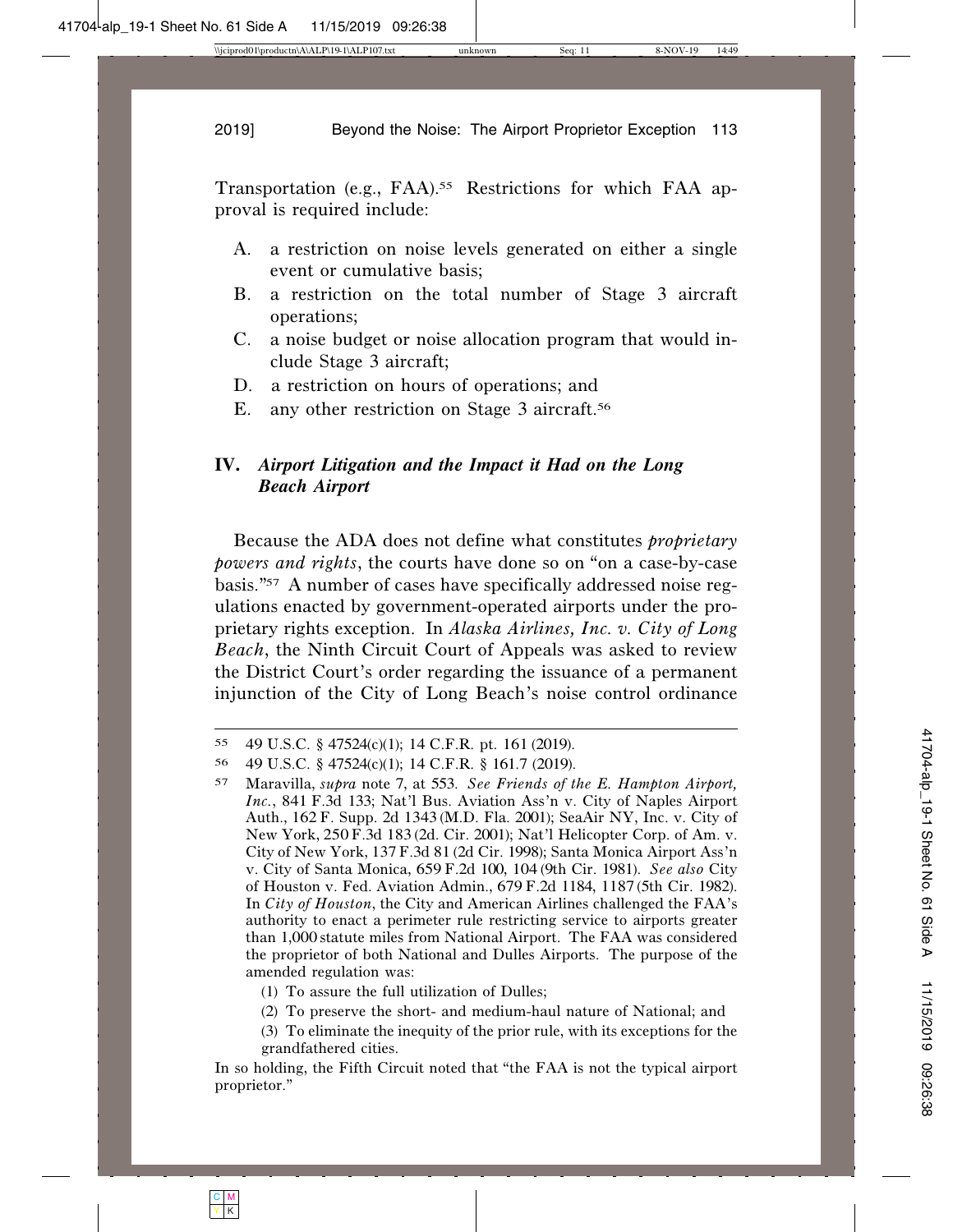Transportation (e.g., FAA).<sup>55</sup> Restrictions for which FAA approval is required include:

- A. a restriction on noise levels generated on either a single event or cumulative basis;
- B. a restriction on the total number of Stage 3 aircraft operations;
- C. a noise budget or noise allocation program that would include Stage 3 aircraft;
- D. a restriction on hours of operations; and
- E. any other restriction on Stage 3 aircraft.<sup>56</sup>

# **IV.** *Airport Litigation and the Impact it Had on the Long Beach Airport*

Because the ADA does not define what constitutes *proprietary powers and rights*, the courts have done so on "on a case-by-case basis."57 A number of cases have specifically addressed noise regulations enacted by government-operated airports under the proprietary rights exception. In *Alaska Airlines, Inc. v. City of Long Beach*, the Ninth Circuit Court of Appeals was asked to review the District Court's order regarding the issuance of a permanent injunction of the City of Long Beach's noise control ordinance

- (1) To assure the full utilization of Dulles;
- (2) To preserve the short- and medium-haul nature of National; and
- (3) To eliminate the inequity of the prior rule, with its exceptions for the grandfathered cities.

<sup>55</sup> 49 U.S.C. § 47524(c)(1); 14 C.F.R. pt. 161 (2019).

<sup>56</sup> 49 U.S.C. § 47524(c)(1); 14 C.F.R. § 161.7 (2019).

<sup>57</sup> Maravilla, *supra* note 7, at 553. *See Friends of the E. Hampton Airport, Inc.*, 841 F.3d 133; Nat'l Bus. Aviation Ass'n v. City of Naples Airport Auth., 162 F. Supp. 2d 1343 (M.D. Fla. 2001); SeaAir NY, Inc. v. City of New York, 250F.3d 183 (2d. Cir. 2001); Nat'l Helicopter Corp. of Am. v. City of New York, 137F.3d 81 (2d Cir. 1998); Santa Monica Airport Ass'n v. City of Santa Monica, 659 F.2d 100, 104 (9th Cir. 1981). *See also* City of Houston v. Fed. Aviation Admin., 679 F.2d 1184, 1187 (5th Cir. 1982). In *City of Houston*, the City and American Airlines challenged the FAA's authority to enact a perimeter rule restricting service to airports greater than 1,000 statute miles from National Airport. The FAA was considered the proprietor of both National and Dulles Airports. The purpose of the amended regulation was:

In so holding, the Fifth Circuit noted that "the FAA is not the typical airport proprietor."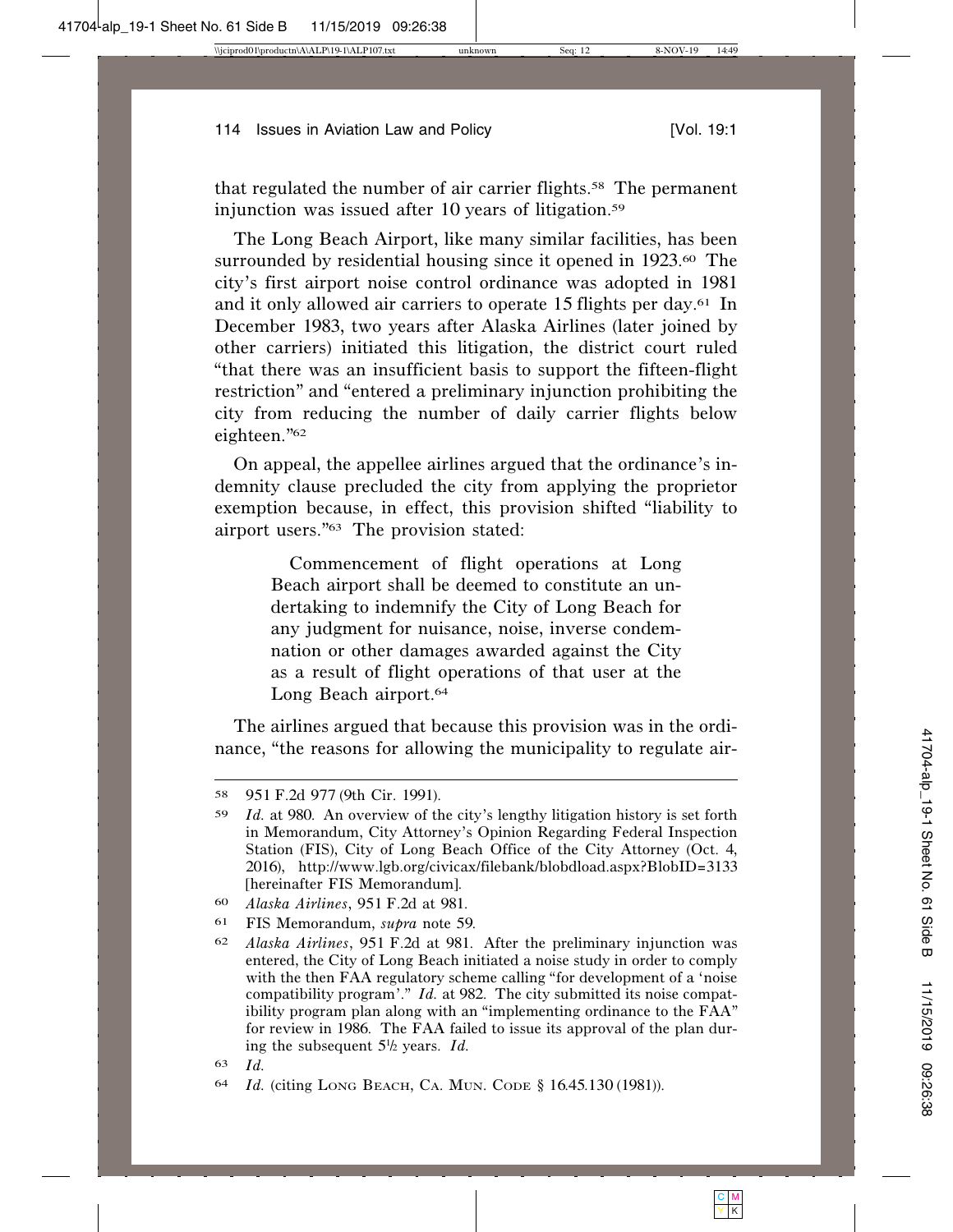that regulated the number of air carrier flights.<sup>58</sup> The permanent injunction was issued after 10 years of litigation.<sup>59</sup>

The Long Beach Airport, like many similar facilities, has been surrounded by residential housing since it opened in 1923.<sup>60</sup> The city's first airport noise control ordinance was adopted in 1981 and it only allowed air carriers to operate 15 flights per day.61 In December 1983, two years after Alaska Airlines (later joined by other carriers) initiated this litigation, the district court ruled "that there was an insufficient basis to support the fifteen-flight restriction" and "entered a preliminary injunction prohibiting the city from reducing the number of daily carrier flights below eighteen."62

On appeal, the appellee airlines argued that the ordinance's indemnity clause precluded the city from applying the proprietor exemption because, in effect, this provision shifted "liability to airport users."63 The provision stated:

> Commencement of flight operations at Long Beach airport shall be deemed to constitute an undertaking to indemnify the City of Long Beach for any judgment for nuisance, noise, inverse condemnation or other damages awarded against the City as a result of flight operations of that user at the Long Beach airport.64

The airlines argued that because this provision was in the ordinance, "the reasons for allowing the municipality to regulate air-

<sup>58</sup> 951 F.2d 977 (9th Cir. 1991).

<sup>59</sup> *Id.* at 980. An overview of the city's lengthy litigation history is set forth in Memorandum, City Attorney's Opinion Regarding Federal Inspection Station (FIS), City of Long Beach Office of the City Attorney (Oct. 4, 2016), http://www.lgb.org/civicax/filebank/blobdload.aspx?BlobID=3133 [hereinafter FIS Memorandum].

<sup>60</sup> *Alaska Airlines*, 951 F.2d at 981.

<sup>61</sup> FIS Memorandum, *supra* note 59.

<sup>62</sup> *Alaska Airlines*, 951 F.2d at 981. After the preliminary injunction was entered, the City of Long Beach initiated a noise study in order to comply with the then FAA regulatory scheme calling "for development of a 'noise compatibility program'." *Id.* at 982. The city submitted its noise compatibility program plan along with an "implementing ordinance to the FAA" for review in 1986. The FAA failed to issue its approval of the plan during the subsequent  $5\frac{1}{2}$  years. *Id.* 

<sup>63</sup> *Id.*

<sup>64</sup> *Id.* (citing LONG BEACH, CA. MUN. CODE § 16.45.130 (1981)).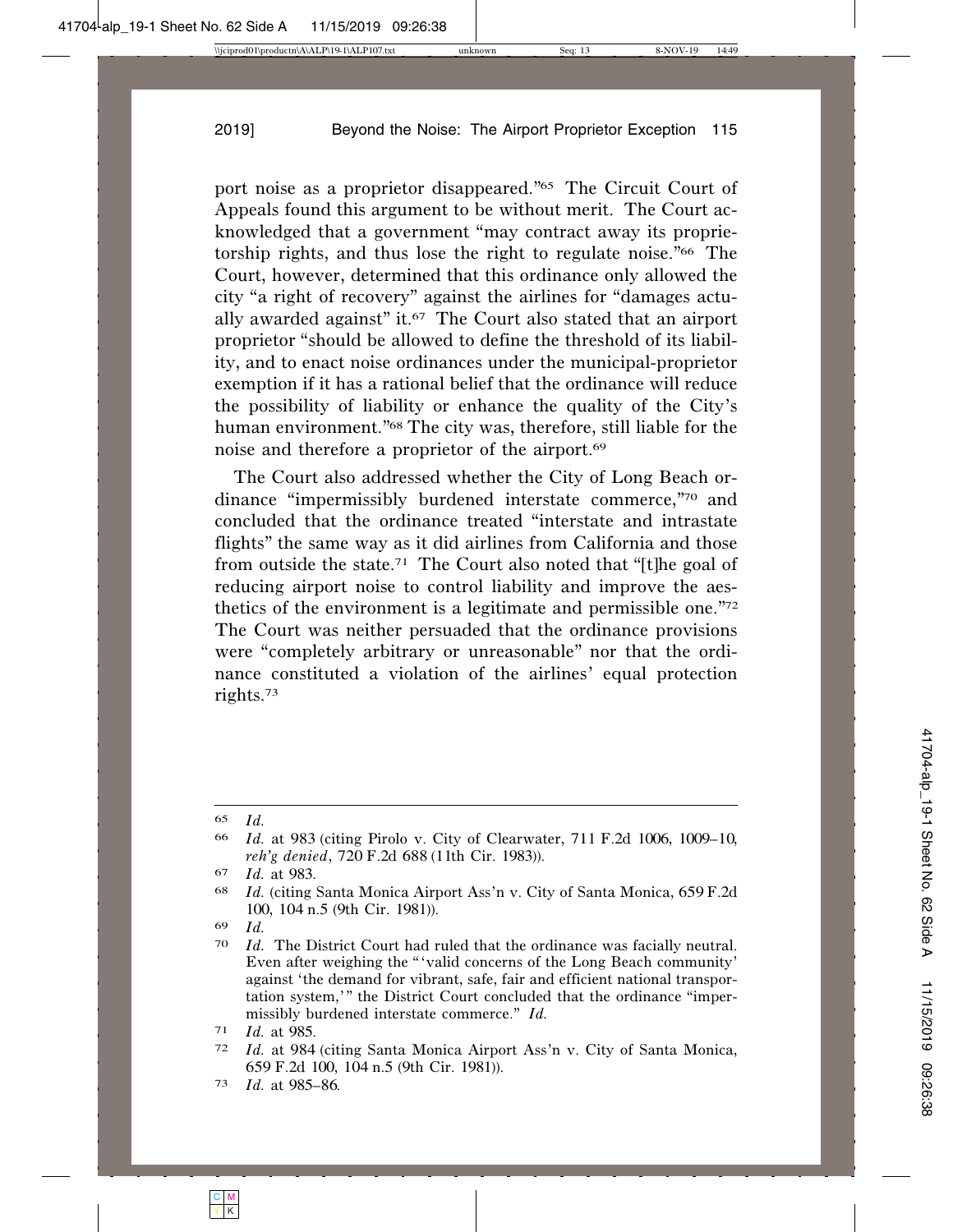port noise as a proprietor disappeared."65 The Circuit Court of Appeals found this argument to be without merit. The Court acknowledged that a government "may contract away its proprietorship rights, and thus lose the right to regulate noise."66 The Court, however, determined that this ordinance only allowed the city "a right of recovery" against the airlines for "damages actually awarded against" it.67 The Court also stated that an airport proprietor "should be allowed to define the threshold of its liability, and to enact noise ordinances under the municipal-proprietor exemption if it has a rational belief that the ordinance will reduce the possibility of liability or enhance the quality of the City's human environment."68 The city was, therefore, still liable for the noise and therefore a proprietor of the airport.69

The Court also addressed whether the City of Long Beach ordinance "impermissibly burdened interstate commerce,"70 and concluded that the ordinance treated "interstate and intrastate flights" the same way as it did airlines from California and those from outside the state.71 The Court also noted that "[t]he goal of reducing airport noise to control liability and improve the aesthetics of the environment is a legitimate and permissible one."72 The Court was neither persuaded that the ordinance provisions were "completely arbitrary or unreasonable" nor that the ordinance constituted a violation of the airlines' equal protection rights.73

<sup>65</sup> *Id.*

<sup>66</sup> *Id.* at 983 (citing Pirolo v. City of Clearwater, 711 F.2d 1006, 1009–10, *reh'g denied*, 720 F.2d 688 (11th Cir. 1983)).

<sup>67</sup> *Id.* at 983.

<sup>68</sup> *Id.* (citing Santa Monica Airport Ass'n v. City of Santa Monica, 659F.2d 100, 104 n.5 (9th Cir. 1981)).

<sup>69</sup> *Id.*

<sup>70</sup> *Id.* The District Court had ruled that the ordinance was facially neutral. Even after weighing the "'valid concerns of the Long Beach community' against 'the demand for vibrant, safe, fair and efficient national transportation system,'" the District Court concluded that the ordinance "impermissibly burdened interstate commerce." *Id.*

<sup>71</sup> *Id.* at 985.

<sup>72</sup> *Id.* at 984 (citing Santa Monica Airport Ass'n v. City of Santa Monica, 659 F.2d 100, 104 n.5 (9th Cir. 1981)).

<sup>73</sup> *Id.* at 985–86.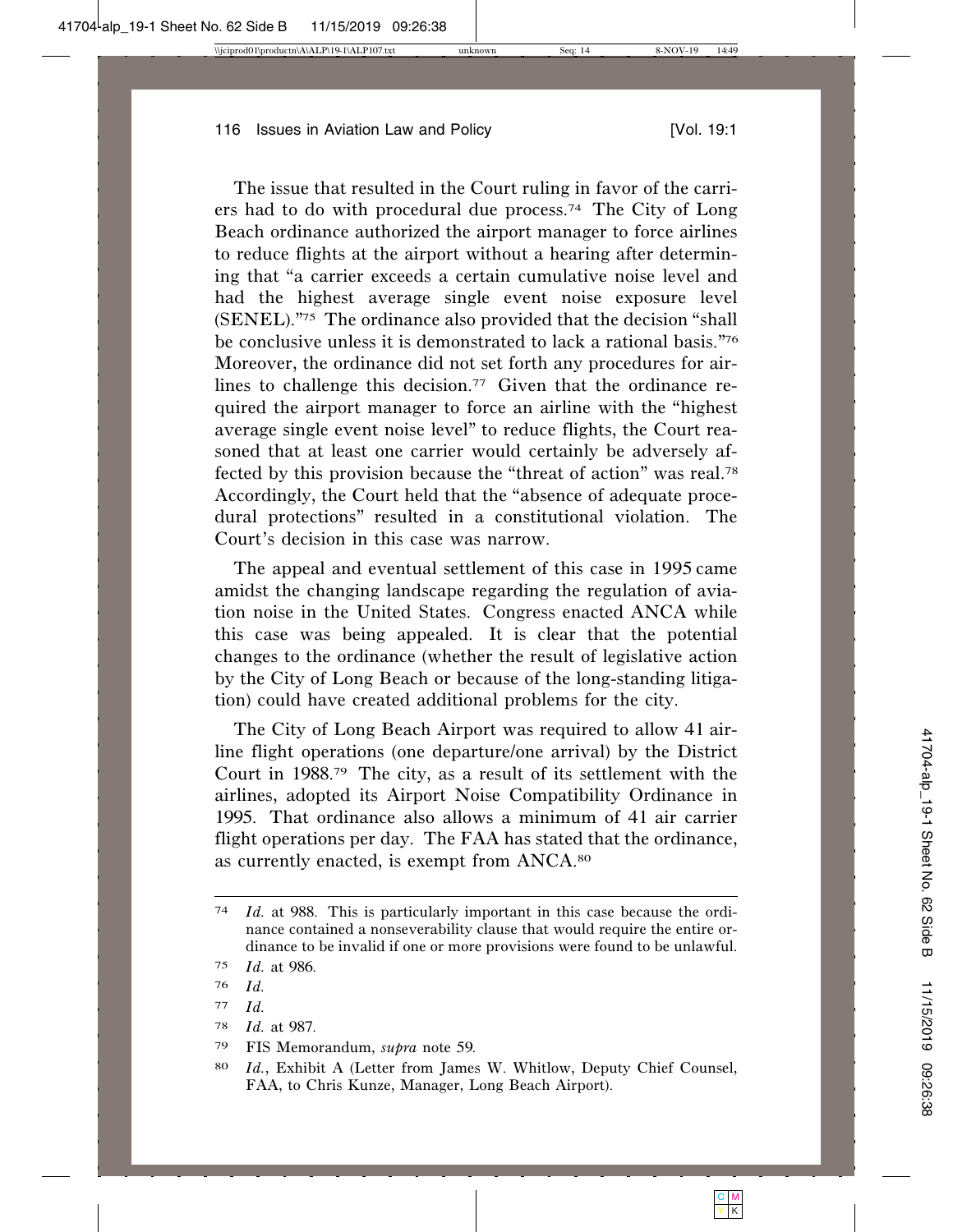The issue that resulted in the Court ruling in favor of the carriers had to do with procedural due process.74 The City of Long Beach ordinance authorized the airport manager to force airlines to reduce flights at the airport without a hearing after determining that "a carrier exceeds a certain cumulative noise level and had the highest average single event noise exposure level (SENEL)."75 The ordinance also provided that the decision "shall be conclusive unless it is demonstrated to lack a rational basis."76 Moreover, the ordinance did not set forth any procedures for airlines to challenge this decision.<sup>77</sup> Given that the ordinance required the airport manager to force an airline with the "highest average single event noise level" to reduce flights, the Court reasoned that at least one carrier would certainly be adversely affected by this provision because the "threat of action" was real.78 Accordingly, the Court held that the "absence of adequate procedural protections" resulted in a constitutional violation. The Court's decision in this case was narrow.

The appeal and eventual settlement of this case in 1995 came amidst the changing landscape regarding the regulation of aviation noise in the United States. Congress enacted ANCA while this case was being appealed. It is clear that the potential changes to the ordinance (whether the result of legislative action by the City of Long Beach or because of the long-standing litigation) could have created additional problems for the city.

The City of Long Beach Airport was required to allow 41 airline flight operations (one departure/one arrival) by the District Court in 1988.79 The city, as a result of its settlement with the airlines, adopted its Airport Noise Compatibility Ordinance in 1995. That ordinance also allows a minimum of 41 air carrier flight operations per day. The FAA has stated that the ordinance, as currently enacted, is exempt from ANCA.80

78 *Id.* at 987.

<sup>74</sup> *Id.* at 988. This is particularly important in this case because the ordinance contained a nonseverability clause that would require the entire ordinance to be invalid if one or more provisions were found to be unlawful.

<sup>75</sup> *Id.* at 986.

<sup>76</sup> *Id.*

<sup>77</sup> *Id.*

<sup>79</sup> FIS Memorandum, *supra* note 59.

<sup>80</sup> *Id.*, Exhibit A (Letter from James W. Whitlow, Deputy Chief Counsel, FAA, to Chris Kunze, Manager, Long Beach Airport).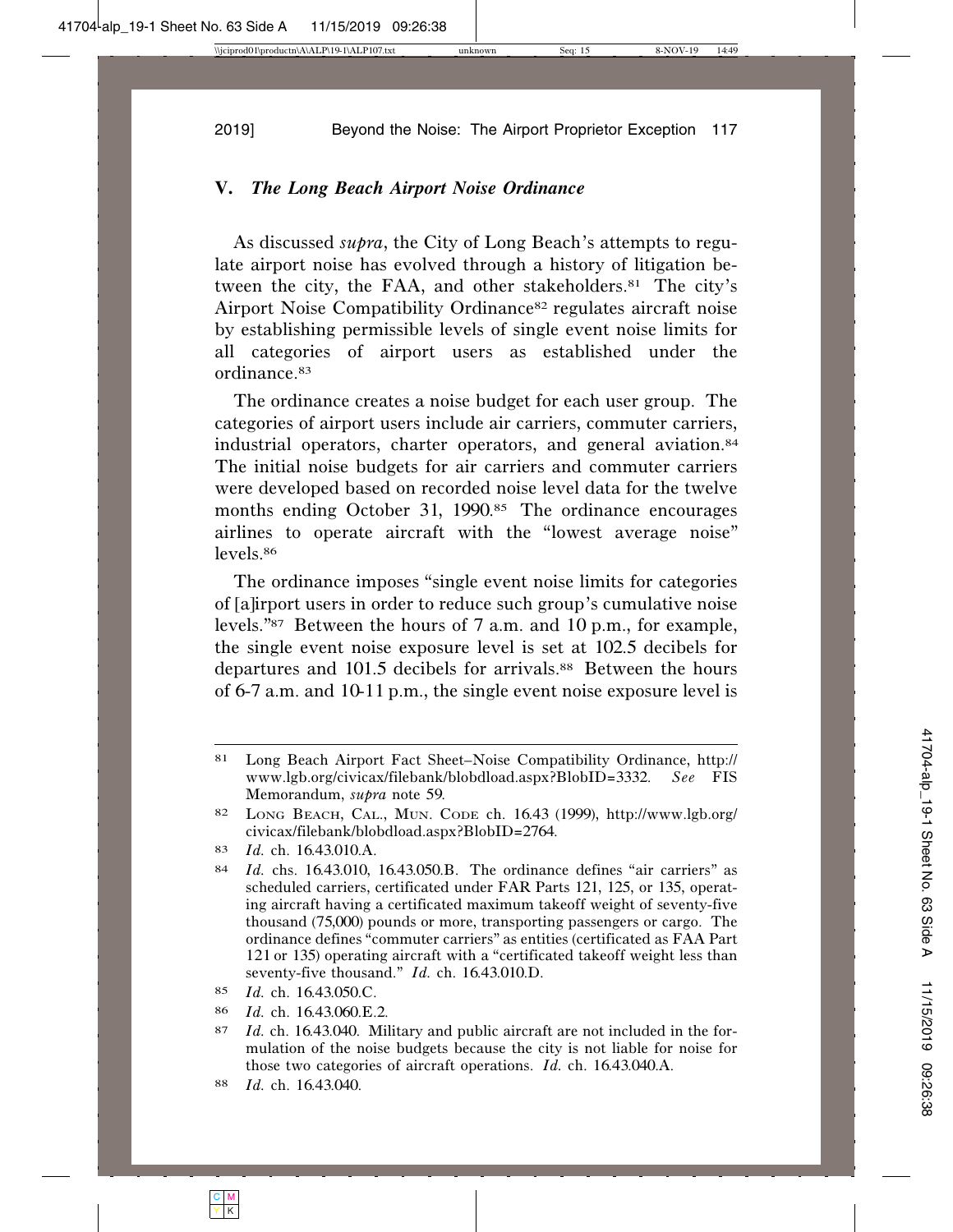### **V.** *The Long Beach Airport Noise Ordinance*

As discussed *supra*, the City of Long Beach's attempts to regulate airport noise has evolved through a history of litigation between the city, the FAA, and other stakeholders.81 The city's Airport Noise Compatibility Ordinance82 regulates aircraft noise by establishing permissible levels of single event noise limits for all categories of airport users as established under the ordinance.83

The ordinance creates a noise budget for each user group. The categories of airport users include air carriers, commuter carriers, industrial operators, charter operators, and general aviation.84 The initial noise budgets for air carriers and commuter carriers were developed based on recorded noise level data for the twelve months ending October 31, 1990.<sup>85</sup> The ordinance encourages airlines to operate aircraft with the "lowest average noise" levels.86

The ordinance imposes "single event noise limits for categories of [a]irport users in order to reduce such group's cumulative noise levels."87 Between the hours of 7 a.m. and 10 p.m., for example, the single event noise exposure level is set at 102.5 decibels for departures and 101.5 decibels for arrivals.88 Between the hours of 6-7 a.m. and 10-11 p.m., the single event noise exposure level is

<sup>81</sup> Long Beach Airport Fact Sheet–Noise Compatibility Ordinance, http:// www.lgb.org/civicax/filebank/blobdload.aspx?BlobID=3332. *See* FIS Memorandum, *supra* note 59.

<sup>82</sup> LONG BEACH, CAL., MUN. CODE ch. 16.43 (1999), http://www.lgb.org/ civicax/filebank/blobdload.aspx?BlobID=2764.

<sup>83</sup> *Id.* ch. 16.43.010.A.

<sup>84</sup> *Id.* chs. 16.43.010, 16.43.050.B. The ordinance defines "air carriers" as scheduled carriers, certificated under FAR Parts 121, 125, or 135, operating aircraft having a certificated maximum takeoff weight of seventy-five thousand (75,000) pounds or more, transporting passengers or cargo. The ordinance defines "commuter carriers" as entities (certificated as FAA Part 121 or 135) operating aircraft with a "certificated takeoff weight less than seventy-five thousand." *Id.* ch. 16.43.010.D.

<sup>85</sup> *Id.* ch. 16.43.050.C.

<sup>86</sup> *Id.* ch. 16.43.060.E.2.

<sup>87</sup> *Id.* ch. 16.43.040. Military and public aircraft are not included in the formulation of the noise budgets because the city is not liable for noise for those two categories of aircraft operations. *Id.* ch. 16.43.040.A.

<sup>88</sup> *Id.* ch. 16.43.040.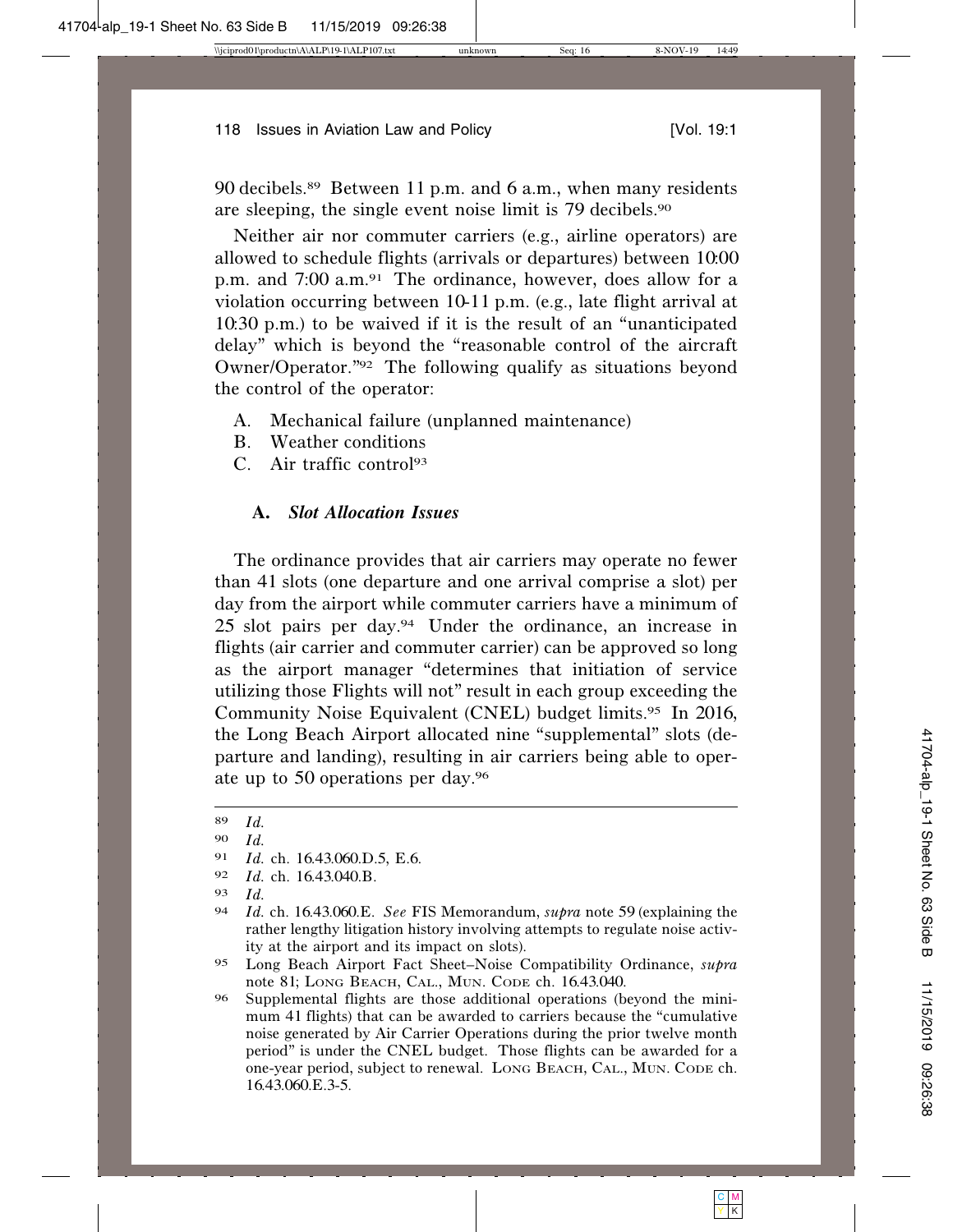90 decibels.89 Between 11 p.m. and 6 a.m., when many residents are sleeping, the single event noise limit is 79 decibels.<sup>90</sup>

Neither air nor commuter carriers (e.g., airline operators) are allowed to schedule flights (arrivals or departures) between 10:00 p.m. and 7:00 a.m.91 The ordinance, however, does allow for a violation occurring between 10-11 p.m. (e.g., late flight arrival at 10:30 p.m.) to be waived if it is the result of an "unanticipated delay" which is beyond the "reasonable control of the aircraft Owner/Operator."92 The following qualify as situations beyond the control of the operator:

- A. Mechanical failure (unplanned maintenance)
- B. Weather conditions
- C. Air traffic control93

# **A.** *Slot Allocation Issues*

The ordinance provides that air carriers may operate no fewer than 41 slots (one departure and one arrival comprise a slot) per day from the airport while commuter carriers have a minimum of 25 slot pairs per day.94 Under the ordinance, an increase in flights (air carrier and commuter carrier) can be approved so long as the airport manager "determines that initiation of service utilizing those Flights will not" result in each group exceeding the Community Noise Equivalent (CNEL) budget limits.95 In 2016, the Long Beach Airport allocated nine "supplemental" slots (departure and landing), resulting in air carriers being able to operate up to 50 operations per day.<sup>96</sup>

- 91 *Id.* ch. 16.43.060.D.5, E.6.
- 92 *Id.* ch. 16.43.040.B.
- 93 *Id.*

<sup>89</sup> *Id.*

<sup>90</sup> *Id.*

<sup>94</sup> *Id.* ch. 16.43.060.E. *See* FIS Memorandum, *supra* note 59 (explaining the rather lengthy litigation history involving attempts to regulate noise activity at the airport and its impact on slots).

<sup>95</sup> Long Beach Airport Fact Sheet–Noise Compatibility Ordinance, *supra* note 81; LONG BEACH, CAL., MUN. CODE ch. 16.43.040.

<sup>96</sup> Supplemental flights are those additional operations (beyond the minimum 41 flights) that can be awarded to carriers because the "cumulative noise generated by Air Carrier Operations during the prior twelve month period" is under the CNEL budget. Those flights can be awarded for a one-year period, subject to renewal. LONG BEACH, CAL., MUN. CODE ch. 16.43.060.E.3-5.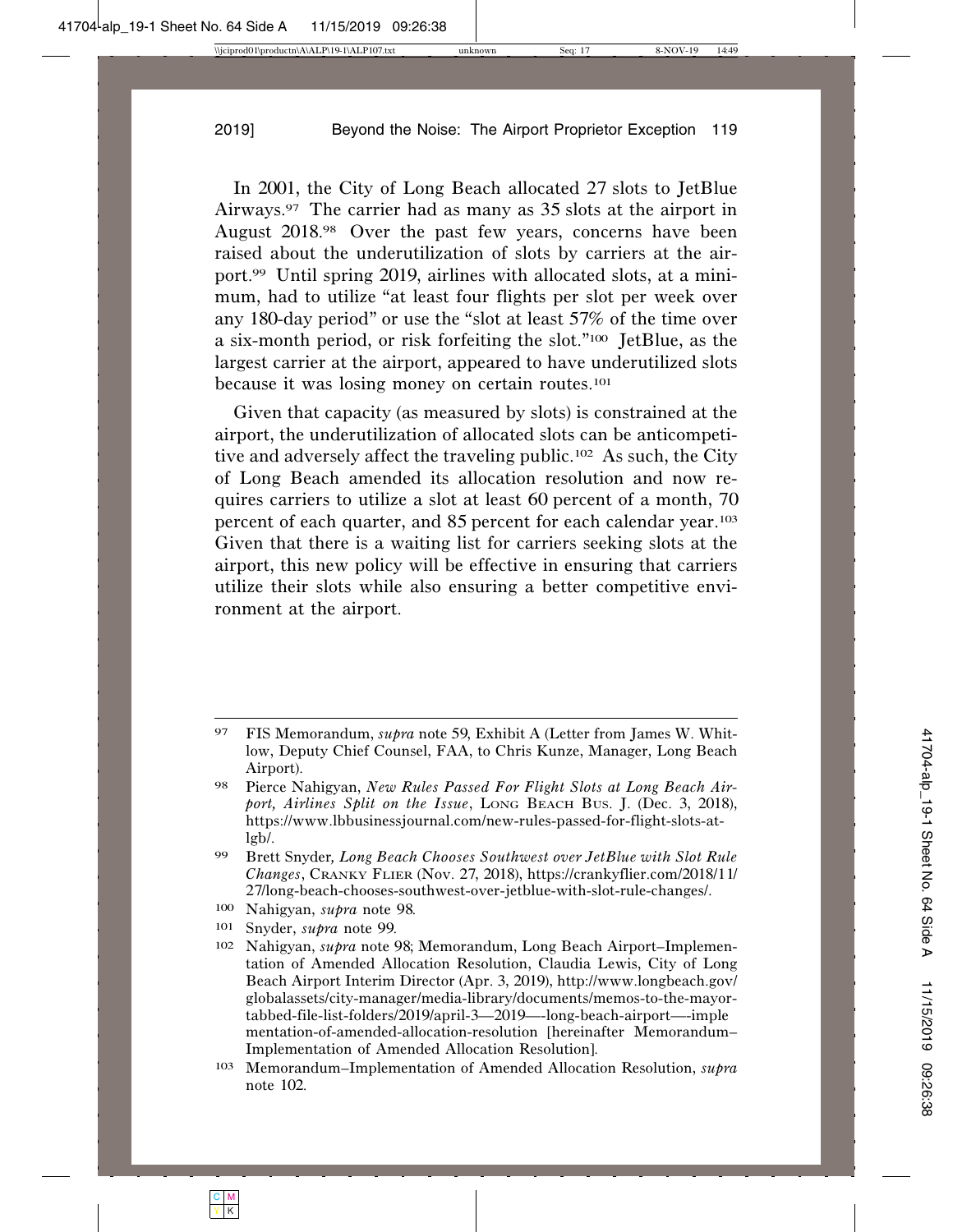In 2001, the City of Long Beach allocated 27 slots to JetBlue Airways.97 The carrier had as many as 35 slots at the airport in August 2018.98 Over the past few years, concerns have been raised about the underutilization of slots by carriers at the airport.99 Until spring 2019, airlines with allocated slots, at a minimum, had to utilize "at least four flights per slot per week over any 180-day period" or use the "slot at least 57% of the time over a six-month period, or risk forfeiting the slot."100 JetBlue, as the largest carrier at the airport, appeared to have underutilized slots because it was losing money on certain routes.101

Given that capacity (as measured by slots) is constrained at the airport, the underutilization of allocated slots can be anticompetitive and adversely affect the traveling public.102 As such, the City of Long Beach amended its allocation resolution and now requires carriers to utilize a slot at least 60 percent of a month, 70 percent of each quarter, and 85 percent for each calendar year.<sup>103</sup> Given that there is a waiting list for carriers seeking slots at the airport, this new policy will be effective in ensuring that carriers utilize their slots while also ensuring a better competitive environment at the airport.

- 100 Nahigyan, *supra* note 98.
- 101 Snyder, *supra* note 99.

103 Memorandum–Implementation of Amended Allocation Resolution, *supra* note 102.

<sup>97</sup> FIS Memorandum, *supra* note 59, Exhibit A (Letter from James W. Whitlow, Deputy Chief Counsel, FAA, to Chris Kunze, Manager, Long Beach Airport).

<sup>98</sup> Pierce Nahigyan, *New Rules Passed For Flight Slots at Long Beach Airport, Airlines Split on the Issue*, LONG BEACH BUS. J. (Dec. 3, 2018), https://www.lbbusinessjournal.com/new-rules-passed-for-flight-slots-atlgb/.

<sup>99</sup> Brett Snyder*, Long Beach Chooses Southwest over JetBlue with Slot Rule Changes*, CRANKY FLIER (Nov. 27, 2018), https://crankyflier.com/2018/11/ 27/long-beach-chooses-southwest-over-jetblue-with-slot-rule-changes/.

<sup>102</sup> Nahigyan, *supra* note 98; Memorandum, Long Beach Airport–Implementation of Amended Allocation Resolution, Claudia Lewis, City of Long Beach Airport Interim Director (Apr. 3, 2019), http://www.longbeach.gov/ globalassets/city-manager/media-library/documents/memos-to-the-mayortabbed-file-list-folders/2019/april-3—2019—-long-beach-airport—-imple mentation-of-amended-allocation-resolution [hereinafter Memorandum– Implementation of Amended Allocation Resolution].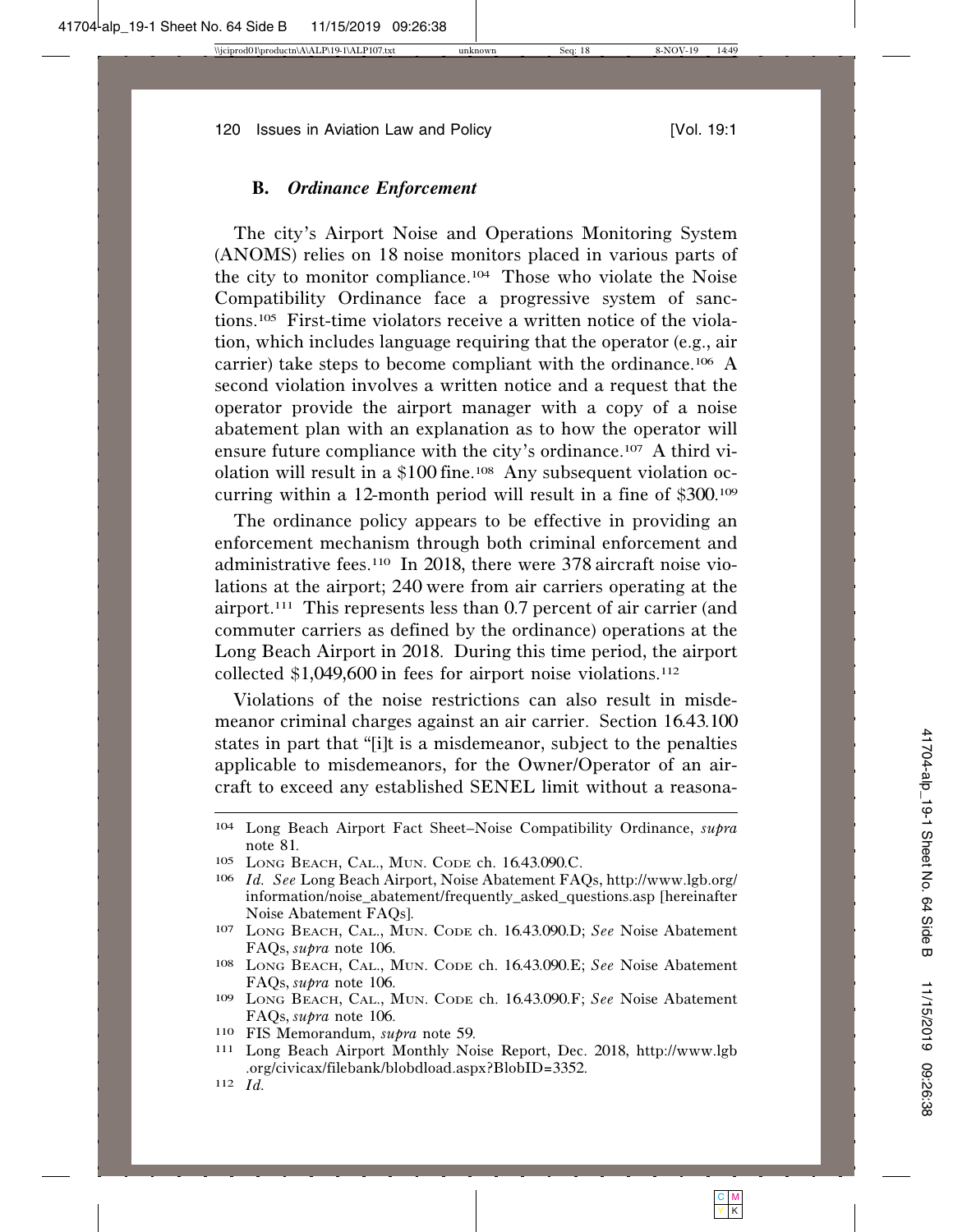#### **B.** *Ordinance Enforcement*

The city's Airport Noise and Operations Monitoring System (ANOMS) relies on 18 noise monitors placed in various parts of the city to monitor compliance.104 Those who violate the Noise Compatibility Ordinance face a progressive system of sanctions.105 First-time violators receive a written notice of the violation, which includes language requiring that the operator (e.g., air carrier) take steps to become compliant with the ordinance.106 A second violation involves a written notice and a request that the operator provide the airport manager with a copy of a noise abatement plan with an explanation as to how the operator will ensure future compliance with the city's ordinance.107 A third violation will result in a \$100 fine.108 Any subsequent violation occurring within a 12-month period will result in a fine of \$300.<sup>109</sup>

The ordinance policy appears to be effective in providing an enforcement mechanism through both criminal enforcement and administrative fees.110 In 2018, there were 378 aircraft noise violations at the airport; 240 were from air carriers operating at the airport.111 This represents less than 0.7 percent of air carrier (and commuter carriers as defined by the ordinance) operations at the Long Beach Airport in 2018. During this time period, the airport collected \$1,049,600 in fees for airport noise violations.<sup>112</sup>

Violations of the noise restrictions can also result in misdemeanor criminal charges against an air carrier. Section 16.43.100 states in part that "[i]t is a misdemeanor, subject to the penalties applicable to misdemeanors, for the Owner/Operator of an aircraft to exceed any established SENEL limit without a reasona-

<sup>104</sup> Long Beach Airport Fact Sheet–Noise Compatibility Ordinance, *supra* note <sup>81</sup>. <sup>105</sup> LONG BEACH, CAL., MUN. CODE ch. <sup>16</sup>.43.090.C.

<sup>106</sup> *Id. See* Long Beach Airport, Noise Abatement FAQs, http://www.lgb.org/ information/noise\_abatement/frequently\_asked\_questions.asp [hereinafter Noise Abatement FAQs].

<sup>107</sup> LONG BEACH, CAL., MUN. CODE ch. 16.43.090.D; *See* Noise Abatement FAQs, *supra* note 106. <sup>108</sup> LONG BEACH, CAL., MUN. CODE ch. <sup>16</sup>.43.090.E; *See* Noise Abatement

FAQs, *supra* note 106. <sup>109</sup> LONG BEACH, CAL., MUN. CODE ch. <sup>16</sup>.43.090.F; *See* Noise Abatement

FAQs, *supra* note 106. <sup>110</sup> FIS Memorandum, *supra* note 59. <sup>111</sup> Long Beach Airport Monthly Noise Report, Dec. 2018, http://www.lgb

<sup>.</sup>org/civicax/filebank/blobdload.aspx?BlobID=3352. <sup>112</sup> *Id.*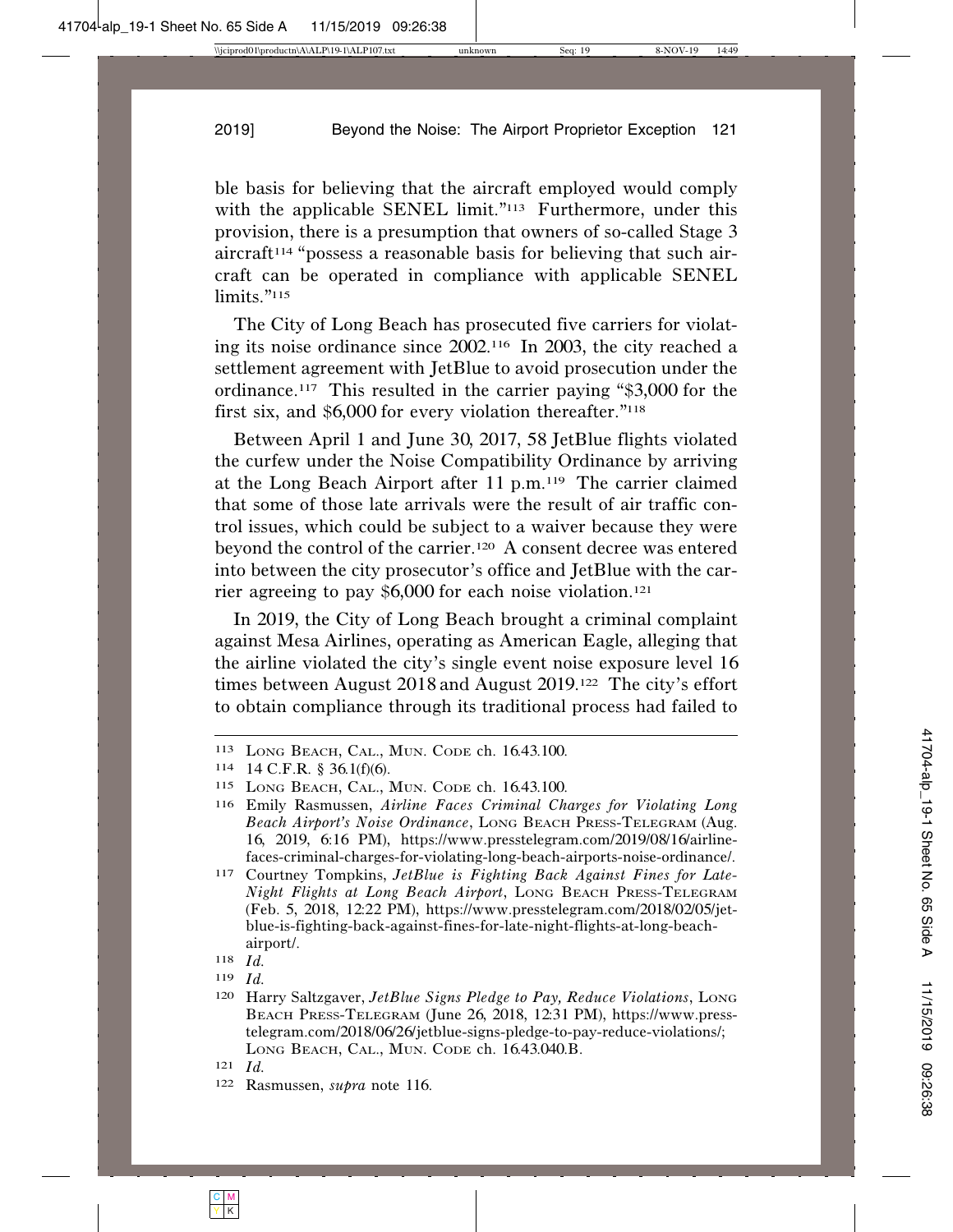ble basis for believing that the aircraft employed would comply with the applicable SENEL limit."<sup>113</sup> Furthermore, under this provision, there is a presumption that owners of so-called Stage 3  $aircraft<sup>114</sup>$  "possess a reasonable basis for believing that such aircraft can be operated in compliance with applicable SENEL limits."<sup>115</sup>

The City of Long Beach has prosecuted five carriers for violating its noise ordinance since 2002.116 In 2003, the city reached a settlement agreement with JetBlue to avoid prosecution under the ordinance.117 This resulted in the carrier paying "\$3,000 for the first six, and \$6,000 for every violation thereafter."<sup>118</sup>

Between April 1 and June 30, 2017, 58 JetBlue flights violated the curfew under the Noise Compatibility Ordinance by arriving at the Long Beach Airport after 11 p.m.119 The carrier claimed that some of those late arrivals were the result of air traffic control issues, which could be subject to a waiver because they were beyond the control of the carrier.120 A consent decree was entered into between the city prosecutor's office and JetBlue with the carrier agreeing to pay \$6,000 for each noise violation.<sup>121</sup>

In 2019, the City of Long Beach brought a criminal complaint against Mesa Airlines, operating as American Eagle, alleging that the airline violated the city's single event noise exposure level 16 times between August 2018 and August 2019.122 The city's effort to obtain compliance through its traditional process had failed to

<sup>113</sup> LONG BEACH, CAL., MUN. CODE ch. 16.43.100.

<sup>114</sup> 14 C.F.R. § 36.1(f)(6).

<sup>115</sup> LONG BEACH, CAL., MUN. CODE ch. 16.43.100.

<sup>116</sup> Emily Rasmussen, *Airline Faces Criminal Charges for Violating Long Beach Airport's Noise Ordinance*, LONG BEACH PRESS-TELEGRAM (Aug. 16, 2019, 6:16 PM), https://www.presstelegram.com/2019/08/16/airlinefaces-criminal-charges-for-violating-long-beach-airports-noise-ordinance/.

<sup>117</sup> Courtney Tompkins, *JetBlue is Fighting Back Against Fines for Late-Night Flights at Long Beach Airport*, LONG BEACH PRESS-TELEGRAM (Feb. 5, 2018, 12:22 PM), https://www.presstelegram.com/2018/02/05/jetblue-is-fighting-back-against-fines-for-late-night-flights-at-long-beachairport/.

<sup>118</sup> *Id.*

<sup>119</sup> *Id.*

<sup>120</sup> Harry Saltzgaver, *JetBlue Signs Pledge to Pay, Reduce Violations*, LONG BEACH PRESS-TELEGRAM (June 26, 2018, 12:31 PM), https://www.presstelegram.com/2018/06/26/jetblue-signs-pledge-to-pay-reduce-violations/; LONG BEACH, CAL., MUN. CODE ch. 16.43.040.B.

<sup>121</sup> *Id.*

<sup>122</sup> Rasmussen, *supra* note 116.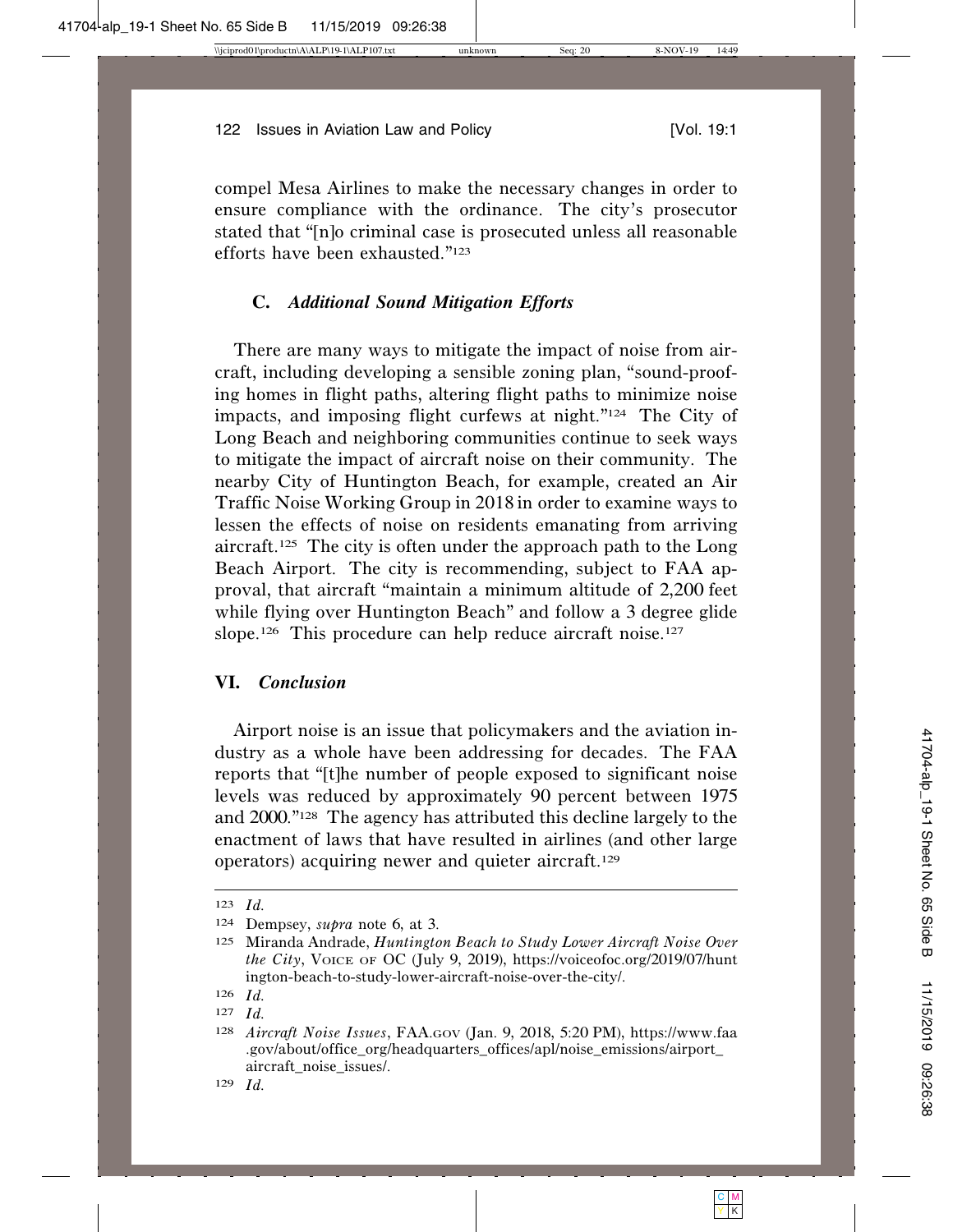compel Mesa Airlines to make the necessary changes in order to ensure compliance with the ordinance. The city's prosecutor stated that "[n]o criminal case is prosecuted unless all reasonable efforts have been exhausted."123

## **C.** *Additional Sound Mitigation Efforts*

There are many ways to mitigate the impact of noise from aircraft, including developing a sensible zoning plan, "sound-proofing homes in flight paths, altering flight paths to minimize noise impacts, and imposing flight curfews at night."124 The City of Long Beach and neighboring communities continue to seek ways to mitigate the impact of aircraft noise on their community. The nearby City of Huntington Beach, for example, created an Air Traffic Noise Working Group in 2018 in order to examine ways to lessen the effects of noise on residents emanating from arriving aircraft.125 The city is often under the approach path to the Long Beach Airport. The city is recommending, subject to FAA approval, that aircraft "maintain a minimum altitude of 2,200 feet while flying over Huntington Beach" and follow a 3 degree glide slope.<sup>126</sup> This procedure can help reduce aircraft noise.<sup>127</sup>

### **VI.** *Conclusion*

Airport noise is an issue that policymakers and the aviation industry as a whole have been addressing for decades. The FAA reports that "[t]he number of people exposed to significant noise levels was reduced by approximately 90 percent between 1975 and 2000."128 The agency has attributed this decline largely to the enactment of laws that have resulted in airlines (and other large operators) acquiring newer and quieter aircraft.129

<sup>123</sup> *Id.*

<sup>124</sup> Dempsey, *supra* note 6, at 3.

<sup>125</sup> Miranda Andrade, *Huntington Beach to Study Lower Aircraft Noise Over the City*, VOICE OF OC (July 9, 2019), https://voiceofoc.org/2019/07/hunt ington-beach-to-study-lower-aircraft-noise-over-the-city/.

<sup>126</sup> *Id.*

<sup>127</sup> *Id.*

<sup>128</sup> *Aircraft Noise Issues*, FAA.GOV (Jan. 9, 2018, 5:20 PM), https://www.faa .gov/about/office\_org/headquarters\_offices/apl/noise\_emissions/airport\_ aircraft\_noise\_issues/.

<sup>129</sup> *Id.*